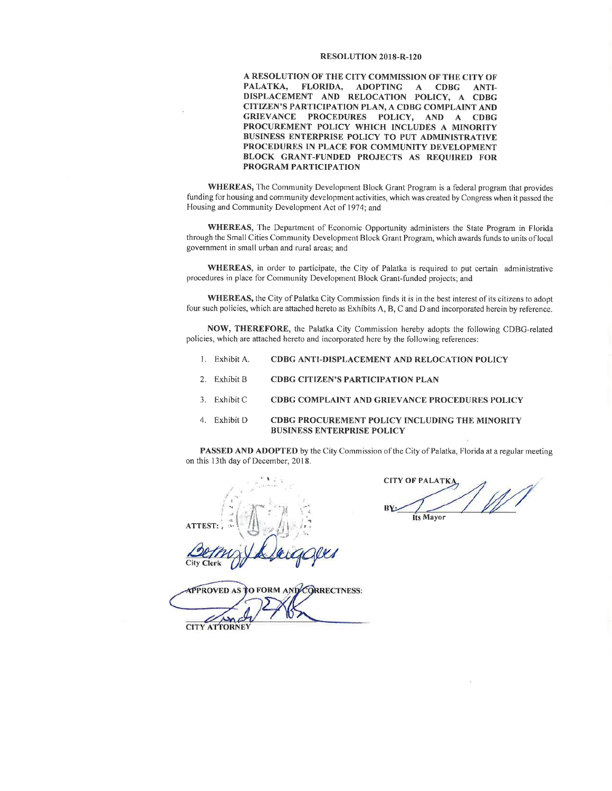### **RESOLUTION 2018-R-120**

A RESOLUTION OF THE CITY COMMISSION OF THE CITY OF **FLORIDA,** PALATKA, ADOPTING A **CDBG** ANTI-DISPLACEMENT AND RELOCATION POLICY, A CDBG **CITIZEN'S PARTICIPATION PLAN, A CDBG COMPLAINT AND** GRIEVANCE PROCEDURES POLICY, AND A CDBG PROCUREMENT POLICY WHICH INCLUDES A MINORITY BUSINESS ENTERPRISE POLICY TO PUT ADMINISTRATIVE PROCEDURES IN PLACE FOR COMMUNITY DEVELOPMENT BLOCK GRANT-FUNDED PROJECTS AS REQUIRED FOR PROGRAM PARTICIPATION

**WHEREAS,** The Community Development Block Grant Program is a federal program that provides funding for housing and community development activities, which was created by Congress when it passed the Housing and Community Development Act of 1974; and

WHEREAS, The Department of Economic Opportunity administers the State Program in Florida through the Small Cities Community Development Block Grant Program, which awards funds to units of local government in small urban and rural areas; and

WHEREAS, in order to participate, the City of Palatka is required to put certain administrative procedures in place for Community Development Block Grant-funded projects; and

WHEREAS, the City of Palatka City Commission finds it is in the best interest of its citizens to adopt four such policies, which are attached hereto as Exhibits A, B, C and D and incorporated herein by reference.

NOW, THEREFORE, the Palatka City Commission hereby adopts the following CDBG-related policies, which are attached hereto and incorporated here by the following references:

- 1. Exhibit A. CDBG ANTI-DISPLACEMENT AND RELOCATION POLICY
- 2. Exhibit B **CDBG CITIZEN'S PARTICIPATION PLAN**
- 3. Exhibit C CDBG COMPLAINT AND GRIEVANCE PROCEDURES POLICY
- 4. Exhibit D **CDBG PROCUREMENT POLICY INCLUDING THE MINORITY BUSINESS ENTERPRISE POLICY**

PASSED AND ADOPTED by the City Commission of the City of Palatka, Florida at a regular meeting on this 13th day of December, 2018.

**ATTEST:** Clerk

**CITY OF PALATKA BY** Its Mayor

*<u>APPROVED AS</u>* O FORM AND CORRECTNESS:

**CITY ATTORNEY**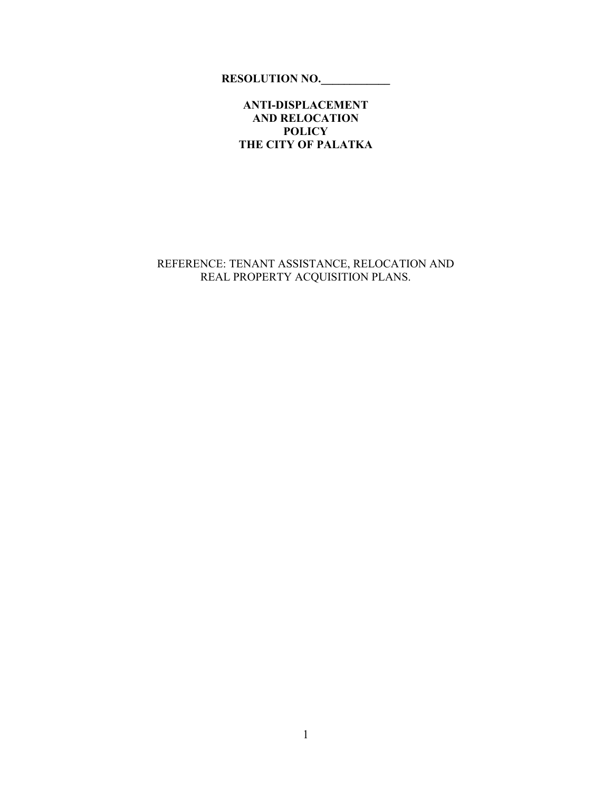**RESOLUTION NO.\_\_\_\_\_\_\_\_\_\_\_\_** 

**ANTI-DISPLACEMENT AND RELOCATION POLICY THE CITY OF PALATKA** 

REFERENCE: TENANT ASSISTANCE, RELOCATION AND REAL PROPERTY ACQUISITION PLANS.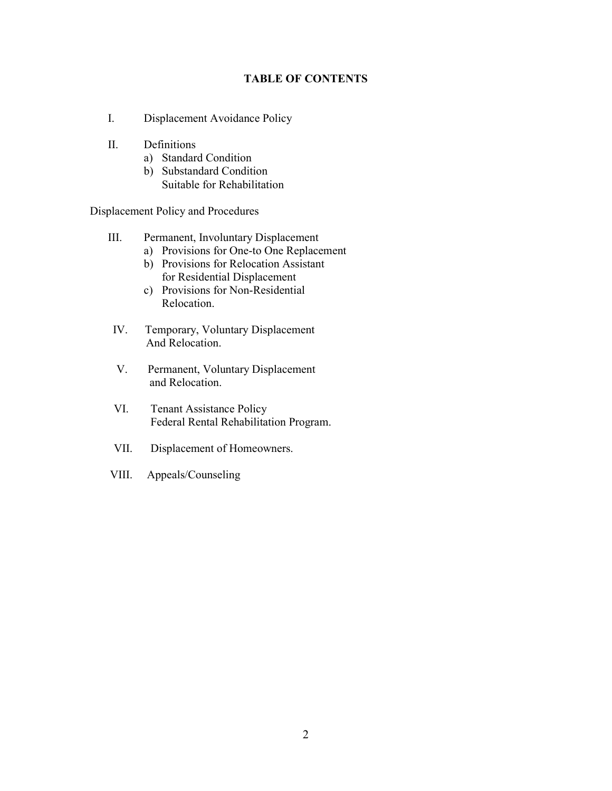### **TABLE OF CONTENTS**

- I. Displacement Avoidance Policy
- II. Definitions
	- a) Standard Condition
	- b) Substandard Condition Suitable for Rehabilitation

Displacement Policy and Procedures

- III. Permanent, Involuntary Displacement
	- a) Provisions for One-to One Replacement
	- b) Provisions for Relocation Assistant for Residential Displacement
	- c) Provisions for Non-Residential Relocation.
- IV. Temporary, Voluntary Displacement And Relocation.
- V. Permanent, Voluntary Displacement and Relocation.
- VI. Tenant Assistance Policy Federal Rental Rehabilitation Program.
- VII. Displacement of Homeowners.
- VIII. Appeals/Counseling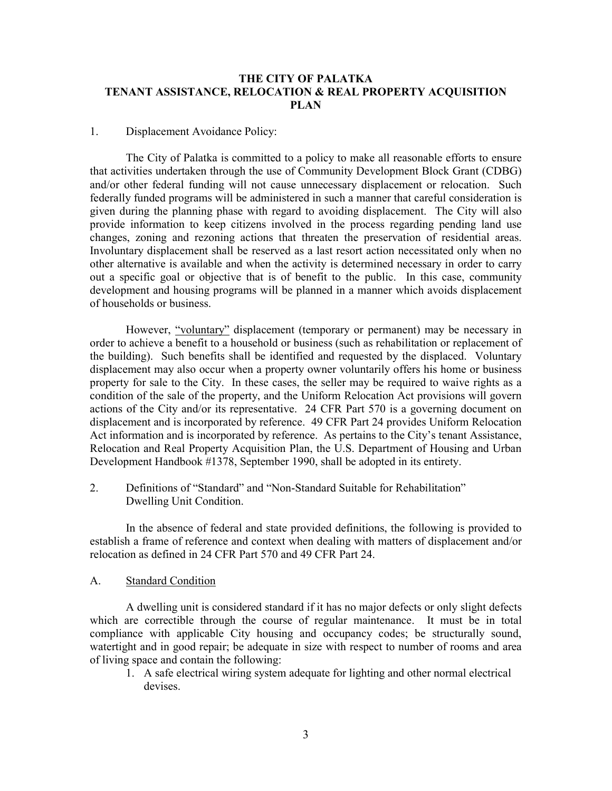### **THE CITY OF PALATKA TENANT ASSISTANCE, RELOCATION & REAL PROPERTY ACQUISITION PLAN**

### 1. Displacement Avoidance Policy:

 The City of Palatka is committed to a policy to make all reasonable efforts to ensure that activities undertaken through the use of Community Development Block Grant (CDBG) and/or other federal funding will not cause unnecessary displacement or relocation. Such federally funded programs will be administered in such a manner that careful consideration is given during the planning phase with regard to avoiding displacement. The City will also provide information to keep citizens involved in the process regarding pending land use changes, zoning and rezoning actions that threaten the preservation of residential areas. Involuntary displacement shall be reserved as a last resort action necessitated only when no other alternative is available and when the activity is determined necessary in order to carry out a specific goal or objective that is of benefit to the public. In this case, community development and housing programs will be planned in a manner which avoids displacement of households or business.

 However, "voluntary" displacement (temporary or permanent) may be necessary in order to achieve a benefit to a household or business (such as rehabilitation or replacement of the building). Such benefits shall be identified and requested by the displaced. Voluntary displacement may also occur when a property owner voluntarily offers his home or business property for sale to the City. In these cases, the seller may be required to waive rights as a condition of the sale of the property, and the Uniform Relocation Act provisions will govern actions of the City and/or its representative. 24 CFR Part 570 is a governing document on displacement and is incorporated by reference. 49 CFR Part 24 provides Uniform Relocation Act information and is incorporated by reference. As pertains to the City's tenant Assistance, Relocation and Real Property Acquisition Plan, the U.S. Department of Housing and Urban Development Handbook #1378, September 1990, shall be adopted in its entirety.

2. Definitions of "Standard" and "Non-Standard Suitable for Rehabilitation" Dwelling Unit Condition.

 In the absence of federal and state provided definitions, the following is provided to establish a frame of reference and context when dealing with matters of displacement and/or relocation as defined in 24 CFR Part 570 and 49 CFR Part 24.

### A. Standard Condition

 A dwelling unit is considered standard if it has no major defects or only slight defects which are correctible through the course of regular maintenance. It must be in total compliance with applicable City housing and occupancy codes; be structurally sound, watertight and in good repair; be adequate in size with respect to number of rooms and area of living space and contain the following:

1. A safe electrical wiring system adequate for lighting and other normal electrical devises.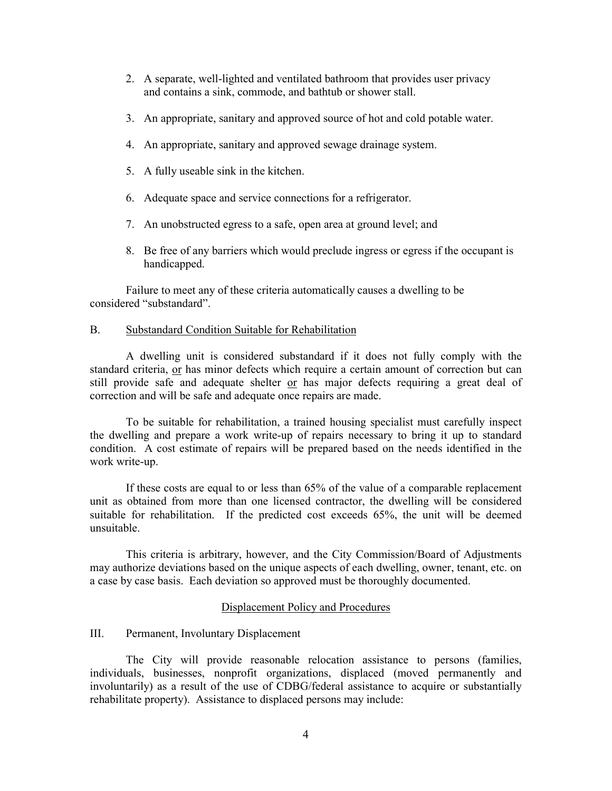- 2. A separate, well-lighted and ventilated bathroom that provides user privacy and contains a sink, commode, and bathtub or shower stall.
- 3. An appropriate, sanitary and approved source of hot and cold potable water.
- 4. An appropriate, sanitary and approved sewage drainage system.
- 5. A fully useable sink in the kitchen.
- 6. Adequate space and service connections for a refrigerator.
- 7. An unobstructed egress to a safe, open area at ground level; and
- 8. Be free of any barriers which would preclude ingress or egress if the occupant is handicapped.

Failure to meet any of these criteria automatically causes a dwelling to be considered "substandard".

### B. Substandard Condition Suitable for Rehabilitation

 A dwelling unit is considered substandard if it does not fully comply with the standard criteria, or has minor defects which require a certain amount of correction but can still provide safe and adequate shelter or has major defects requiring a great deal of correction and will be safe and adequate once repairs are made.

 To be suitable for rehabilitation, a trained housing specialist must carefully inspect the dwelling and prepare a work write-up of repairs necessary to bring it up to standard condition. A cost estimate of repairs will be prepared based on the needs identified in the work write-up.

 If these costs are equal to or less than 65% of the value of a comparable replacement unit as obtained from more than one licensed contractor, the dwelling will be considered suitable for rehabilitation. If the predicted cost exceeds 65%, the unit will be deemed unsuitable.

 This criteria is arbitrary, however, and the City Commission/Board of Adjustments may authorize deviations based on the unique aspects of each dwelling, owner, tenant, etc. on a case by case basis. Each deviation so approved must be thoroughly documented.

### Displacement Policy and Procedures

### III. Permanent, Involuntary Displacement

 The City will provide reasonable relocation assistance to persons (families, individuals, businesses, nonprofit organizations, displaced (moved permanently and involuntarily) as a result of the use of CDBG/federal assistance to acquire or substantially rehabilitate property). Assistance to displaced persons may include: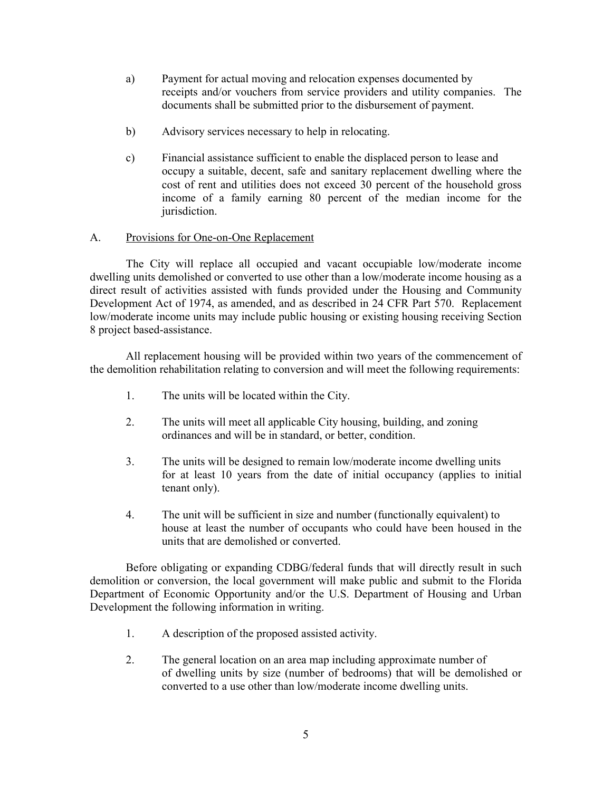- a) Payment for actual moving and relocation expenses documented by receipts and/or vouchers from service providers and utility companies. The documents shall be submitted prior to the disbursement of payment.
- b) Advisory services necessary to help in relocating.
- c) Financial assistance sufficient to enable the displaced person to lease and occupy a suitable, decent, safe and sanitary replacement dwelling where the cost of rent and utilities does not exceed 30 percent of the household gross income of a family earning 80 percent of the median income for the jurisdiction.

## A. Provisions for One-on-One Replacement

 The City will replace all occupied and vacant occupiable low/moderate income dwelling units demolished or converted to use other than a low/moderate income housing as a direct result of activities assisted with funds provided under the Housing and Community Development Act of 1974, as amended, and as described in 24 CFR Part 570. Replacement low/moderate income units may include public housing or existing housing receiving Section 8 project based-assistance.

 All replacement housing will be provided within two years of the commencement of the demolition rehabilitation relating to conversion and will meet the following requirements:

- 1. The units will be located within the City.
- 2. The units will meet all applicable City housing, building, and zoning ordinances and will be in standard, or better, condition.
- 3. The units will be designed to remain low/moderate income dwelling units for at least 10 years from the date of initial occupancy (applies to initial tenant only).
- 4. The unit will be sufficient in size and number (functionally equivalent) to house at least the number of occupants who could have been housed in the units that are demolished or converted.

 Before obligating or expanding CDBG/federal funds that will directly result in such demolition or conversion, the local government will make public and submit to the Florida Department of Economic Opportunity and/or the U.S. Department of Housing and Urban Development the following information in writing.

- 1. A description of the proposed assisted activity.
- 2. The general location on an area map including approximate number of of dwelling units by size (number of bedrooms) that will be demolished or converted to a use other than low/moderate income dwelling units.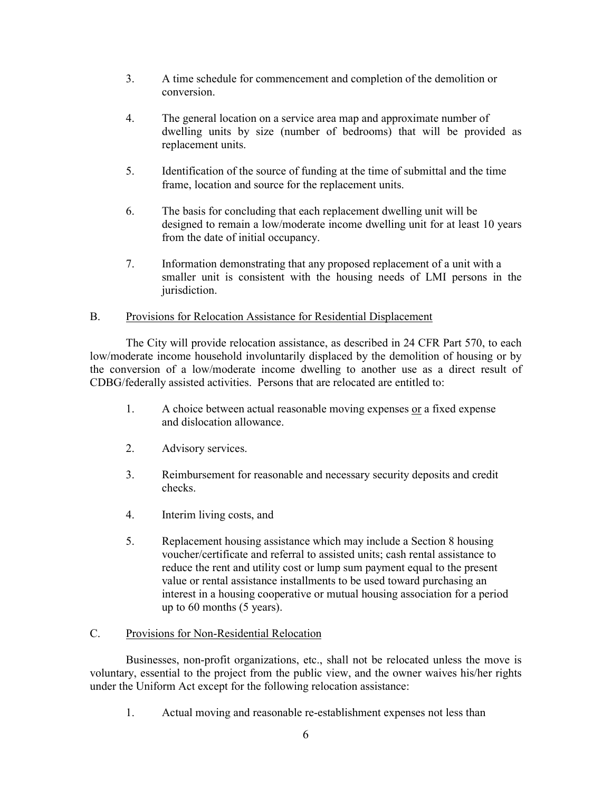- 3. A time schedule for commencement and completion of the demolition or conversion.
- 4. The general location on a service area map and approximate number of dwelling units by size (number of bedrooms) that will be provided as replacement units.
- 5. Identification of the source of funding at the time of submittal and the time frame, location and source for the replacement units.
- 6. The basis for concluding that each replacement dwelling unit will be designed to remain a low/moderate income dwelling unit for at least 10 years from the date of initial occupancy.
- 7. Information demonstrating that any proposed replacement of a unit with a smaller unit is consistent with the housing needs of LMI persons in the jurisdiction.

## B. Provisions for Relocation Assistance for Residential Displacement

 The City will provide relocation assistance, as described in 24 CFR Part 570, to each low/moderate income household involuntarily displaced by the demolition of housing or by the conversion of a low/moderate income dwelling to another use as a direct result of CDBG/federally assisted activities. Persons that are relocated are entitled to:

- 1. A choice between actual reasonable moving expenses or a fixed expense and dislocation allowance.
- 2. Advisory services.
- 3. Reimbursement for reasonable and necessary security deposits and credit checks.
- 4. Interim living costs, and
- 5. Replacement housing assistance which may include a Section 8 housing voucher/certificate and referral to assisted units; cash rental assistance to reduce the rent and utility cost or lump sum payment equal to the present value or rental assistance installments to be used toward purchasing an interest in a housing cooperative or mutual housing association for a period up to 60 months (5 years).

## C. Provisions for Non-Residential Relocation

 Businesses, non-profit organizations, etc., shall not be relocated unless the move is voluntary, essential to the project from the public view, and the owner waives his/her rights under the Uniform Act except for the following relocation assistance:

1. Actual moving and reasonable re-establishment expenses not less than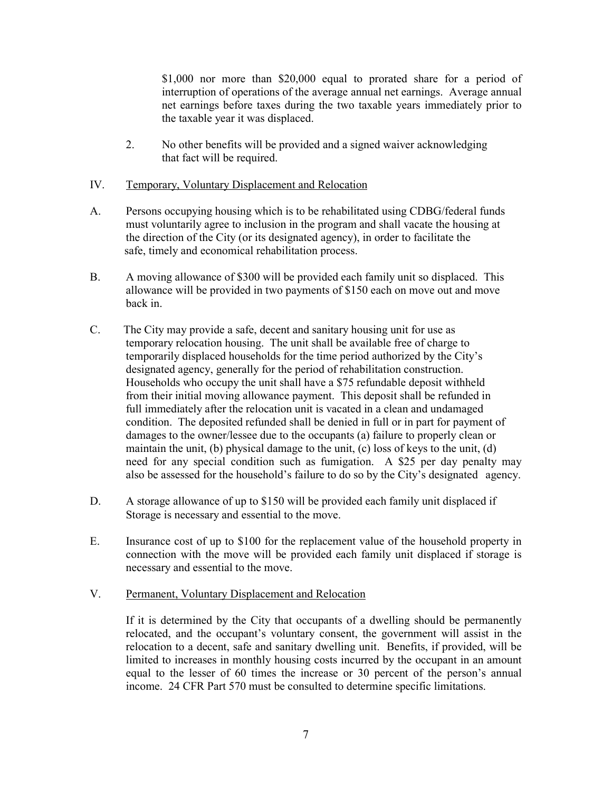\$1,000 nor more than \$20,000 equal to prorated share for a period of interruption of operations of the average annual net earnings. Average annual net earnings before taxes during the two taxable years immediately prior to the taxable year it was displaced.

2. No other benefits will be provided and a signed waiver acknowledging that fact will be required.

## IV. Temporary, Voluntary Displacement and Relocation

- A. Persons occupying housing which is to be rehabilitated using CDBG/federal funds must voluntarily agree to inclusion in the program and shall vacate the housing at the direction of the City (or its designated agency), in order to facilitate the safe, timely and economical rehabilitation process.
- B. A moving allowance of \$300 will be provided each family unit so displaced. This allowance will be provided in two payments of \$150 each on move out and move back in.
- C. The City may provide a safe, decent and sanitary housing unit for use as temporary relocation housing. The unit shall be available free of charge to temporarily displaced households for the time period authorized by the City's designated agency, generally for the period of rehabilitation construction. Households who occupy the unit shall have a \$75 refundable deposit withheld from their initial moving allowance payment. This deposit shall be refunded in full immediately after the relocation unit is vacated in a clean and undamaged condition. The deposited refunded shall be denied in full or in part for payment of damages to the owner/lessee due to the occupants (a) failure to properly clean or maintain the unit, (b) physical damage to the unit, (c) loss of keys to the unit, (d) need for any special condition such as fumigation. A \$25 per day penalty may also be assessed for the household's failure to do so by the City's designated agency.
- D. A storage allowance of up to \$150 will be provided each family unit displaced if Storage is necessary and essential to the move.
- E. Insurance cost of up to \$100 for the replacement value of the household property in connection with the move will be provided each family unit displaced if storage is necessary and essential to the move.

### V. Permanent, Voluntary Displacement and Relocation

 If it is determined by the City that occupants of a dwelling should be permanently relocated, and the occupant's voluntary consent, the government will assist in the relocation to a decent, safe and sanitary dwelling unit. Benefits, if provided, will be limited to increases in monthly housing costs incurred by the occupant in an amount equal to the lesser of 60 times the increase or 30 percent of the person's annual income. 24 CFR Part 570 must be consulted to determine specific limitations.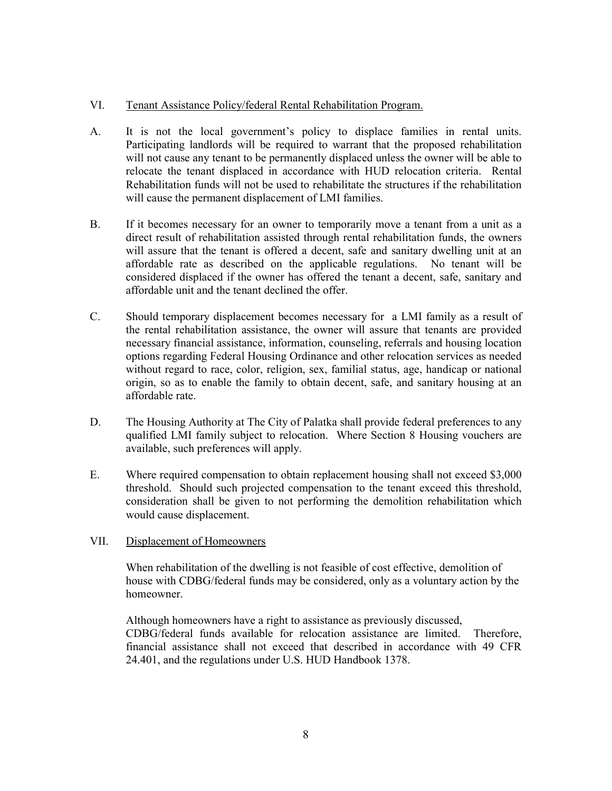## VI. Tenant Assistance Policy/federal Rental Rehabilitation Program.

- A. It is not the local government's policy to displace families in rental units. Participating landlords will be required to warrant that the proposed rehabilitation will not cause any tenant to be permanently displaced unless the owner will be able to relocate the tenant displaced in accordance with HUD relocation criteria. Rental Rehabilitation funds will not be used to rehabilitate the structures if the rehabilitation will cause the permanent displacement of LMI families.
- B. If it becomes necessary for an owner to temporarily move a tenant from a unit as a direct result of rehabilitation assisted through rental rehabilitation funds, the owners will assure that the tenant is offered a decent, safe and sanitary dwelling unit at an affordable rate as described on the applicable regulations. No tenant will be considered displaced if the owner has offered the tenant a decent, safe, sanitary and affordable unit and the tenant declined the offer.
- C. Should temporary displacement becomes necessary for a LMI family as a result of the rental rehabilitation assistance, the owner will assure that tenants are provided necessary financial assistance, information, counseling, referrals and housing location options regarding Federal Housing Ordinance and other relocation services as needed without regard to race, color, religion, sex, familial status, age, handicap or national origin, so as to enable the family to obtain decent, safe, and sanitary housing at an affordable rate.
- D. The Housing Authority at The City of Palatka shall provide federal preferences to any qualified LMI family subject to relocation. Where Section 8 Housing vouchers are available, such preferences will apply.
- E. Where required compensation to obtain replacement housing shall not exceed \$3,000 threshold. Should such projected compensation to the tenant exceed this threshold, consideration shall be given to not performing the demolition rehabilitation which would cause displacement.

## VII. Displacement of Homeowners

 When rehabilitation of the dwelling is not feasible of cost effective, demolition of house with CDBG/federal funds may be considered, only as a voluntary action by the homeowner.

 Although homeowners have a right to assistance as previously discussed, CDBG/federal funds available for relocation assistance are limited. Therefore, financial assistance shall not exceed that described in accordance with 49 CFR 24.401, and the regulations under U.S. HUD Handbook 1378.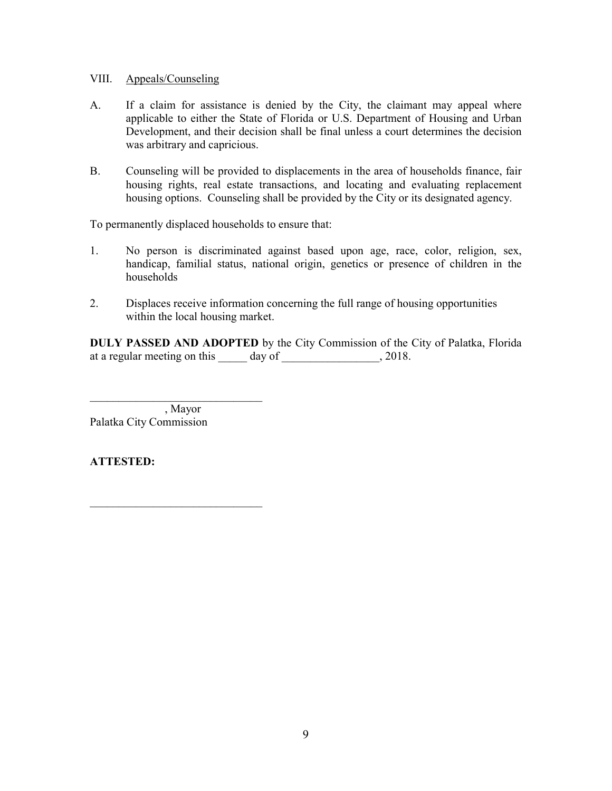### VIII. Appeals/Counseling

- A. If a claim for assistance is denied by the City, the claimant may appeal where applicable to either the State of Florida or U.S. Department of Housing and Urban Development, and their decision shall be final unless a court determines the decision was arbitrary and capricious.
- B. Counseling will be provided to displacements in the area of households finance, fair housing rights, real estate transactions, and locating and evaluating replacement housing options. Counseling shall be provided by the City or its designated agency.

To permanently displaced households to ensure that:

- 1. No person is discriminated against based upon age, race, color, religion, sex, handicap, familial status, national origin, genetics or presence of children in the households
- 2. Displaces receive information concerning the full range of housing opportunities within the local housing market.

**DULY PASSED AND ADOPTED** by the City Commission of the City of Palatka, Florida at a regular meeting on this \_\_\_\_\_ day of \_\_\_\_\_\_\_\_\_\_\_\_\_\_\_\_\_, 2018.

 , Mayor Palatka City Commission

\_\_\_\_\_\_\_\_\_\_\_\_\_\_\_\_\_\_\_\_\_\_\_\_\_\_\_\_\_\_

\_\_\_\_\_\_\_\_\_\_\_\_\_\_\_\_\_\_\_\_\_\_\_\_\_\_\_\_\_\_

# **ATTESTED:**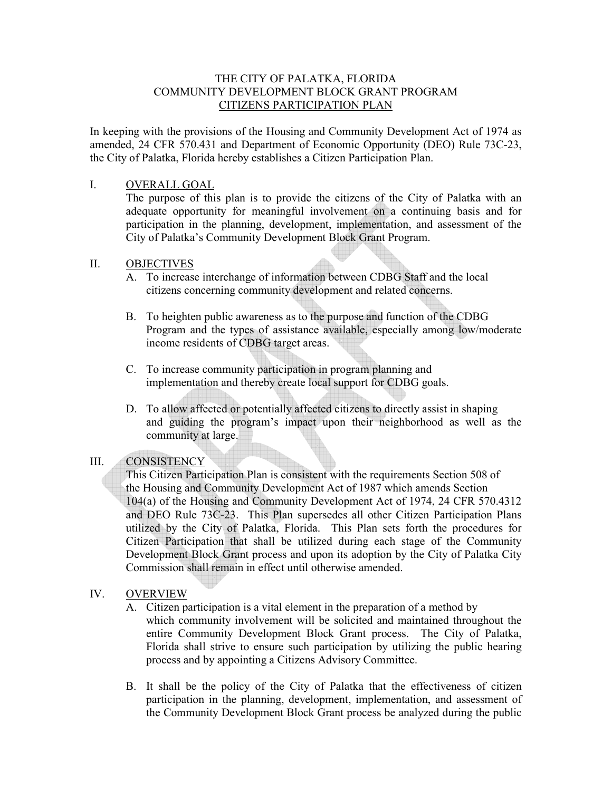### THE CITY OF PALATKA, FLORIDA COMMUNITY DEVELOPMENT BLOCK GRANT PROGRAM CITIZENS PARTICIPATION PLAN

In keeping with the provisions of the Housing and Community Development Act of 1974 as amended, 24 CFR 570.431 and Department of Economic Opportunity (DEO) Rule 73C-23, the City of Palatka, Florida hereby establishes a Citizen Participation Plan.

### I. OVERALL GOAL

The purpose of this plan is to provide the citizens of the City of Palatka with an adequate opportunity for meaningful involvement on a continuing basis and for participation in the planning, development, implementation, and assessment of the City of Palatka's Community Development Block Grant Program.

### II. OBJECTIVES

- A. To increase interchange of information between CDBG Staff and the local citizens concerning community development and related concerns.
- B. To heighten public awareness as to the purpose and function of the CDBG Program and the types of assistance available, especially among low/moderate income residents of CDBG target areas.
- C. To increase community participation in program planning and implementation and thereby create local support for CDBG goals.
- D. To allow affected or potentially affected citizens to directly assist in shaping and guiding the program's impact upon their neighborhood as well as the community at large.

## III. CONSISTENCY

 This Citizen Participation Plan is consistent with the requirements Section 508 of the Housing and Community Development Act of 1987 which amends Section 104(a) of the Housing and Community Development Act of 1974, 24 CFR 570.4312 and DEO Rule 73C-23. This Plan supersedes all other Citizen Participation Plans utilized by the City of Palatka, Florida. This Plan sets forth the procedures for Citizen Participation that shall be utilized during each stage of the Community Development Block Grant process and upon its adoption by the City of Palatka City Commission shall remain in effect until otherwise amended.

### IV. OVERVIEW

- A. Citizen participation is a vital element in the preparation of a method by which community involvement will be solicited and maintained throughout the entire Community Development Block Grant process. The City of Palatka, Florida shall strive to ensure such participation by utilizing the public hearing process and by appointing a Citizens Advisory Committee.
- B. It shall be the policy of the City of Palatka that the effectiveness of citizen participation in the planning, development, implementation, and assessment of the Community Development Block Grant process be analyzed during the public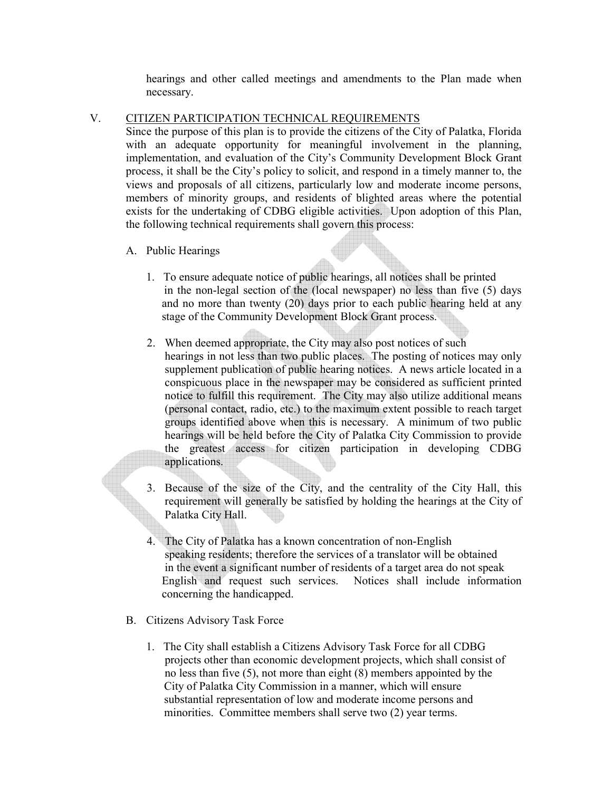hearings and other called meetings and amendments to the Plan made when necessary.

V. CITIZEN PARTICIPATION TECHNICAL REQUIREMENTS

Since the purpose of this plan is to provide the citizens of the City of Palatka, Florida with an adequate opportunity for meaningful involvement in the planning, implementation, and evaluation of the City's Community Development Block Grant process, it shall be the City's policy to solicit, and respond in a timely manner to, the views and proposals of all citizens, particularly low and moderate income persons, members of minority groups, and residents of blighted areas where the potential exists for the undertaking of CDBG eligible activities. Upon adoption of this Plan, the following technical requirements shall govern this process:

- A. Public Hearings
	- 1. To ensure adequate notice of public hearings, all notices shall be printed in the non-legal section of the (local newspaper) no less than five (5) days and no more than twenty (20) days prior to each public hearing held at any stage of the Community Development Block Grant process.
	- 2. When deemed appropriate, the City may also post notices of such hearings in not less than two public places. The posting of notices may only supplement publication of public hearing notices. A news article located in a conspicuous place in the newspaper may be considered as sufficient printed notice to fulfill this requirement. The City may also utilize additional means (personal contact, radio, etc.) to the maximum extent possible to reach target groups identified above when this is necessary. A minimum of two public hearings will be held before the City of Palatka City Commission to provide the greatest access for citizen participation in developing CDBG applications.
	- 3. Because of the size of the City, and the centrality of the City Hall, this requirement will generally be satisfied by holding the hearings at the City of Palatka City Hall.
	- 4. The City of Palatka has a known concentration of non-English speaking residents; therefore the services of a translator will be obtained in the event a significant number of residents of a target area do not speak English and request such services. Notices shall include information concerning the handicapped.
- B. Citizens Advisory Task Force
	- 1. The City shall establish a Citizens Advisory Task Force for all CDBG projects other than economic development projects, which shall consist of no less than five (5), not more than eight (8) members appointed by the City of Palatka City Commission in a manner, which will ensure substantial representation of low and moderate income persons and minorities. Committee members shall serve two (2) year terms.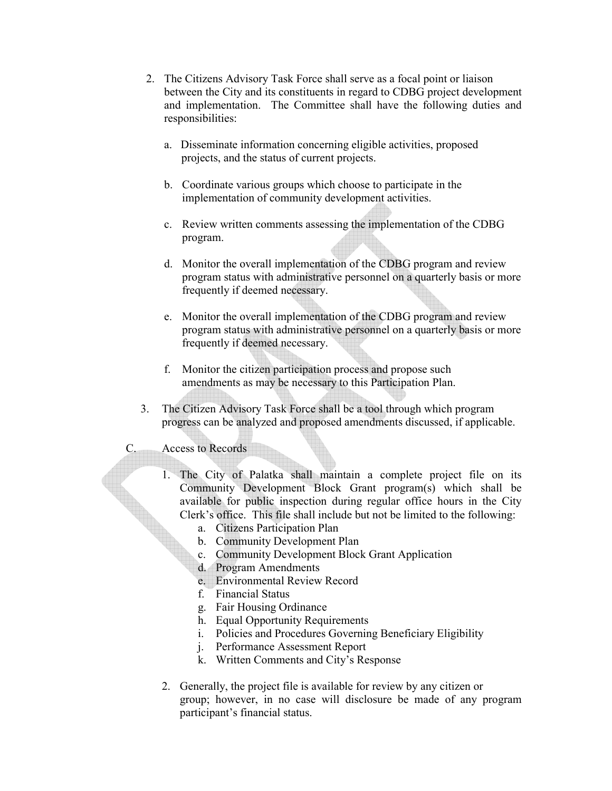- 2. The Citizens Advisory Task Force shall serve as a focal point or liaison between the City and its constituents in regard to CDBG project development and implementation. The Committee shall have the following duties and responsibilities:
	- a. Disseminate information concerning eligible activities, proposed projects, and the status of current projects.
	- b. Coordinate various groups which choose to participate in the implementation of community development activities.
	- c. Review written comments assessing the implementation of the CDBG program.
	- d. Monitor the overall implementation of the CDBG program and review program status with administrative personnel on a quarterly basis or more frequently if deemed necessary.
	- e. Monitor the overall implementation of the CDBG program and review program status with administrative personnel on a quarterly basis or more frequently if deemed necessary.
	- f. Monitor the citizen participation process and propose such amendments as may be necessary to this Participation Plan.
- 3. The Citizen Advisory Task Force shall be a tool through which program progress can be analyzed and proposed amendments discussed, if applicable.
- C. Access to Records
	- 1. The City of Palatka shall maintain a complete project file on its Community Development Block Grant program(s) which shall be available for public inspection during regular office hours in the City Clerk's office. This file shall include but not be limited to the following:
		- a. Citizens Participation Plan
		- b. Community Development Plan
		- c. Community Development Block Grant Application
		- d. Program Amendments
		- e. Environmental Review Record
		- f. Financial Status
		- g. Fair Housing Ordinance
		- h. Equal Opportunity Requirements
		- i. Policies and Procedures Governing Beneficiary Eligibility
		- j. Performance Assessment Report
		- k. Written Comments and City's Response
	- 2. Generally, the project file is available for review by any citizen or group; however, in no case will disclosure be made of any program participant's financial status.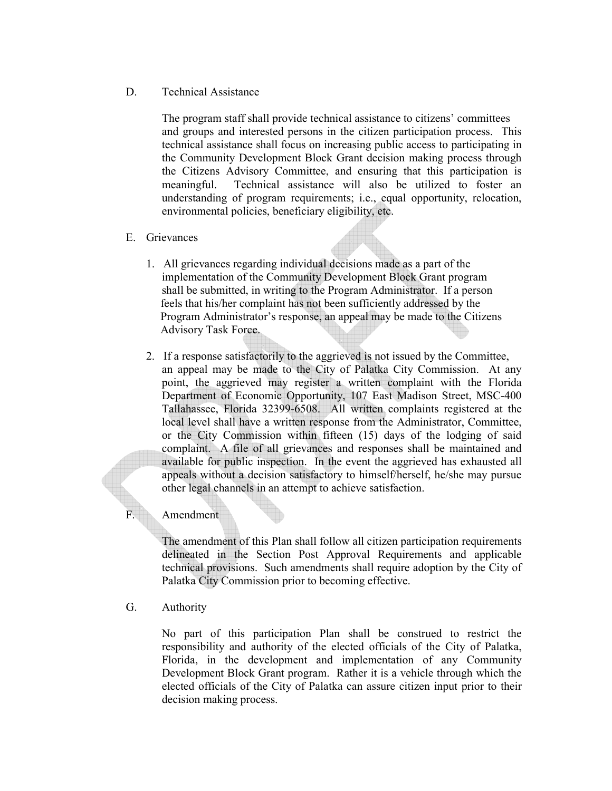### D. Technical Assistance

 The program staff shall provide technical assistance to citizens' committees and groups and interested persons in the citizen participation process. This technical assistance shall focus on increasing public access to participating in the Community Development Block Grant decision making process through the Citizens Advisory Committee, and ensuring that this participation is meaningful. Technical assistance will also be utilized to foster an understanding of program requirements; i.e., equal opportunity, relocation, environmental policies, beneficiary eligibility, etc.

### E. Grievances

- 1. All grievances regarding individual decisions made as a part of the implementation of the Community Development Block Grant program shall be submitted, in writing to the Program Administrator. If a person feels that his/her complaint has not been sufficiently addressed by the Program Administrator's response, an appeal may be made to the Citizens Advisory Task Force.
- 2. If a response satisfactorily to the aggrieved is not issued by the Committee, an appeal may be made to the City of Palatka City Commission. At any point, the aggrieved may register a written complaint with the Florida Department of Economic Opportunity, 107 East Madison Street, MSC-400 Tallahassee, Florida 32399-6508. All written complaints registered at the local level shall have a written response from the Administrator, Committee, or the City Commission within fifteen (15) days of the lodging of said complaint. A file of all grievances and responses shall be maintained and available for public inspection. In the event the aggrieved has exhausted all appeals without a decision satisfactory to himself/herself, he/she may pursue other legal channels in an attempt to achieve satisfaction.

## F. Amendment

The amendment of this Plan shall follow all citizen participation requirements delineated in the Section Post Approval Requirements and applicable technical provisions. Such amendments shall require adoption by the City of Palatka City Commission prior to becoming effective.

G. Authority

No part of this participation Plan shall be construed to restrict the responsibility and authority of the elected officials of the City of Palatka, Florida, in the development and implementation of any Community Development Block Grant program. Rather it is a vehicle through which the elected officials of the City of Palatka can assure citizen input prior to their decision making process.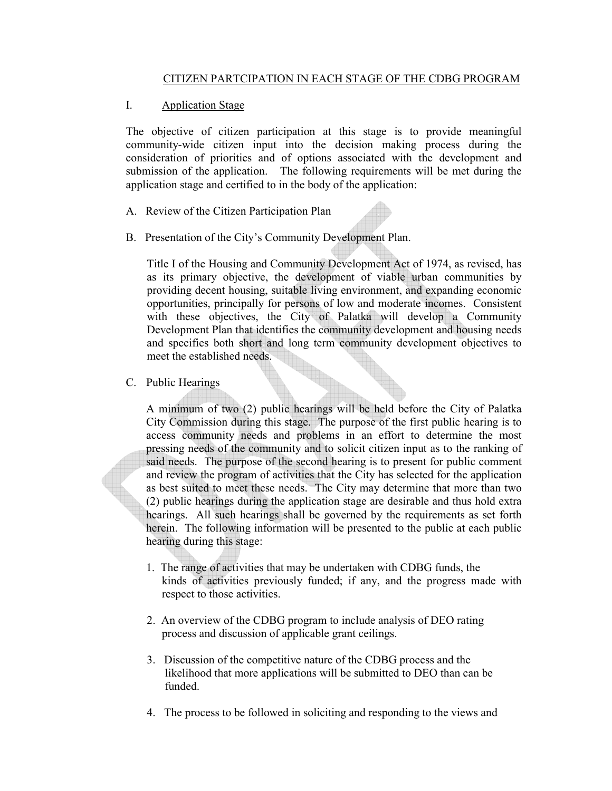## CITIZEN PARTCIPATION IN EACH STAGE OF THE CDBG PROGRAM

## I. Application Stage

The objective of citizen participation at this stage is to provide meaningful community-wide citizen input into the decision making process during the consideration of priorities and of options associated with the development and submission of the application. The following requirements will be met during the application stage and certified to in the body of the application:

- A. Review of the Citizen Participation Plan
- B. Presentation of the City's Community Development Plan.

Title I of the Housing and Community Development Act of 1974, as revised, has as its primary objective, the development of viable urban communities by providing decent housing, suitable living environment, and expanding economic opportunities, principally for persons of low and moderate incomes. Consistent with these objectives, the City of Palatka will develop a Community Development Plan that identifies the community development and housing needs and specifies both short and long term community development objectives to meet the established needs.

C. Public Hearings

A minimum of two (2) public hearings will be held before the City of Palatka City Commission during this stage. The purpose of the first public hearing is to access community needs and problems in an effort to determine the most pressing needs of the community and to solicit citizen input as to the ranking of said needs. The purpose of the second hearing is to present for public comment and review the program of activities that the City has selected for the application as best suited to meet these needs. The City may determine that more than two (2) public hearings during the application stage are desirable and thus hold extra hearings. All such hearings shall be governed by the requirements as set forth herein. The following information will be presented to the public at each public hearing during this stage:

- 1. The range of activities that may be undertaken with CDBG funds, the kinds of activities previously funded; if any, and the progress made with respect to those activities.
- 2. An overview of the CDBG program to include analysis of DEO rating process and discussion of applicable grant ceilings.
- 3. Discussion of the competitive nature of the CDBG process and the likelihood that more applications will be submitted to DEO than can be funded.
- 4. The process to be followed in soliciting and responding to the views and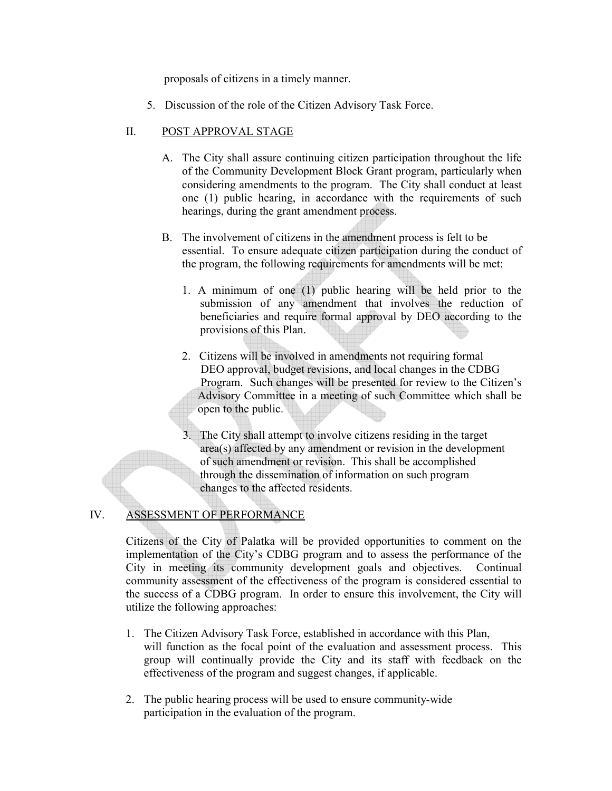proposals of citizens in a timely manner.

5. Discussion of the role of the Citizen Advisory Task Force.

# II. POST APPROVAL STAGE

- A. The City shall assure continuing citizen participation throughout the life of the Community Development Block Grant program, particularly when considering amendments to the program. The City shall conduct at least one (1) public hearing, in accordance with the requirements of such hearings, during the grant amendment process.
- B. The involvement of citizens in the amendment process is felt to be essential. To ensure adequate citizen participation during the conduct of the program, the following requirements for amendments will be met:
	- 1. A minimum of one (1) public hearing will be held prior to the submission of any amendment that involves the reduction of beneficiaries and require formal approval by DEO according to the provisions of this Plan.
	- 2. Citizens will be involved in amendments not requiring formal DEO approval, budget revisions, and local changes in the CDBG Program. Such changes will be presented for review to the Citizen's Advisory Committee in a meeting of such Committee which shall be open to the public.
	- 3. The City shall attempt to involve citizens residing in the target area(s) affected by any amendment or revision in the development of such amendment or revision. This shall be accomplished through the dissemination of information on such program changes to the affected residents.

# IV. ASSESSMENT OF PERFORMANCE

Citizens of the City of Palatka will be provided opportunities to comment on the implementation of the City's CDBG program and to assess the performance of the City in meeting its community development goals and objectives. Continual community assessment of the effectiveness of the program is considered essential to the success of a CDBG program. In order to ensure this involvement, the City will utilize the following approaches:

- 1. The Citizen Advisory Task Force, established in accordance with this Plan, will function as the focal point of the evaluation and assessment process. This group will continually provide the City and its staff with feedback on the effectiveness of the program and suggest changes, if applicable.
- 2. The public hearing process will be used to ensure community-wide participation in the evaluation of the program.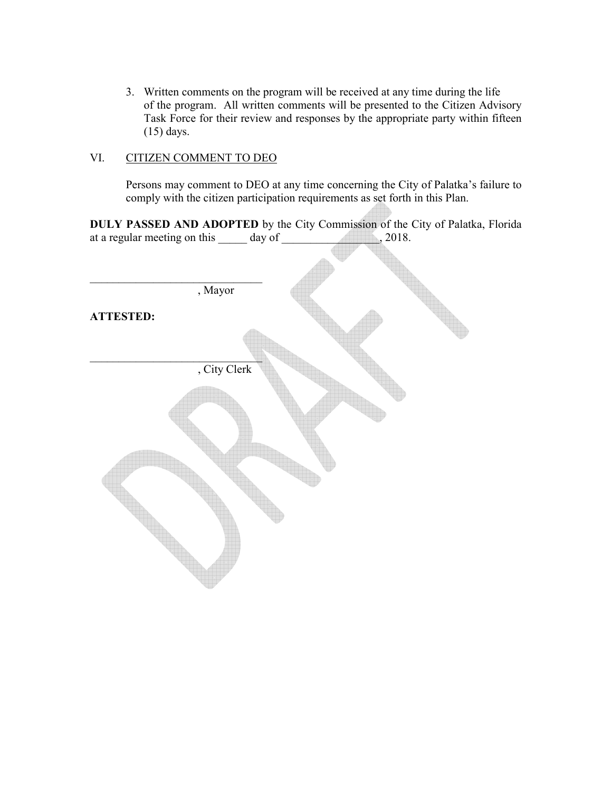3. Written comments on the program will be received at any time during the life of the program. All written comments will be presented to the Citizen Advisory Task Force for their review and responses by the appropriate party within fifteen (15) days.

### VI. CITIZEN COMMENT TO DEO

Persons may comment to DEO at any time concerning the City of Palatka's failure to comply with the citizen participation requirements as set forth in this Plan.

**DULY PASSED AND ADOPTED** by the City Commission of the City of Palatka, Florida at a regular meeting on this day of  $\frac{1}{2018}$ , 2018.

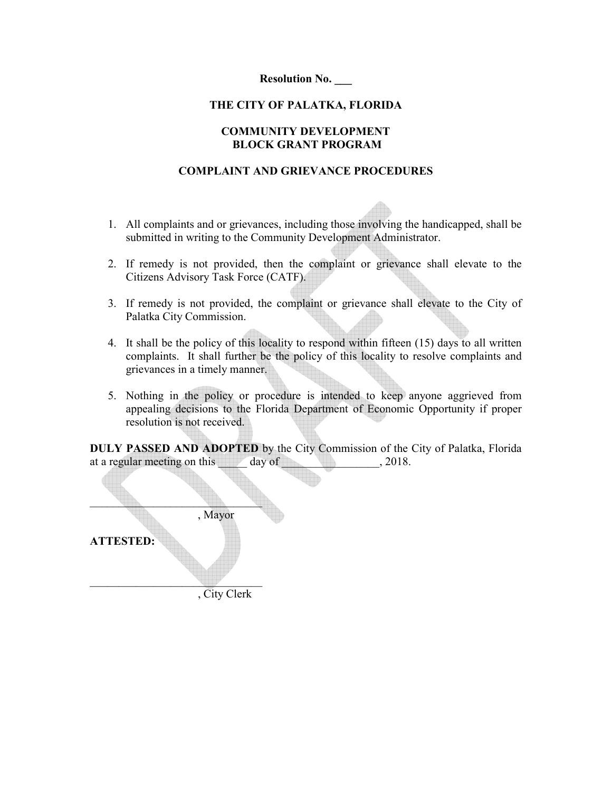**Resolution No. \_\_\_** 

### **THE CITY OF PALATKA, FLORIDA**

### **COMMUNITY DEVELOPMENT BLOCK GRANT PROGRAM**

### **COMPLAINT AND GRIEVANCE PROCEDURES**

- 1. All complaints and or grievances, including those involving the handicapped, shall be submitted in writing to the Community Development Administrator.
- 2. If remedy is not provided, then the complaint or grievance shall elevate to the Citizens Advisory Task Force (CATF).
- 3. If remedy is not provided, the complaint or grievance shall elevate to the City of Palatka City Commission.
- 4. It shall be the policy of this locality to respond within fifteen (15) days to all written complaints. It shall further be the policy of this locality to resolve complaints and grievances in a timely manner.
- 5. Nothing in the policy or procedure is intended to keep anyone aggrieved from appealing decisions to the Florida Department of Economic Opportunity if proper resolution is not received.

**DULY PASSED AND ADOPTED** by the City Commission of the City of Palatka, Florida at a regular meeting on this day of the state of  $\alpha$ , 2018.

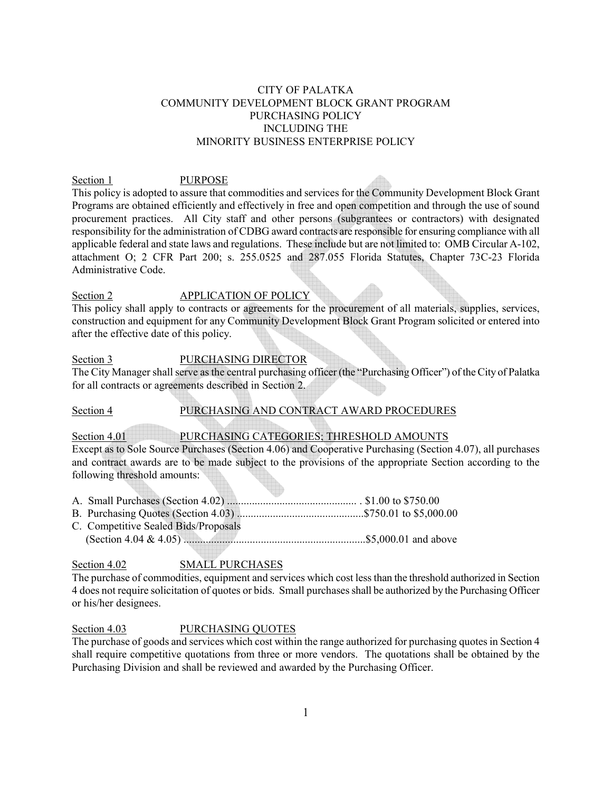### CITY OF PALATKA COMMUNITY DEVELOPMENT BLOCK GRANT PROGRAM PURCHASING POLICY INCLUDING THE MINORITY BUSINESS ENTERPRISE POLICY

### Section 1 PURPOSE

This policy is adopted to assure that commodities and services for the Community Development Block Grant Programs are obtained efficiently and effectively in free and open competition and through the use of sound procurement practices. All City staff and other persons (subgrantees or contractors) with designated responsibility for the administration of CDBG award contracts are responsible for ensuring compliance with all applicable federal and state laws and regulations. These include but are not limited to: OMB Circular A-102, attachment O; 2 CFR Part 200; s. 255.0525 and 287.055 Florida Statutes, Chapter 73C-23 Florida Administrative Code.

### Section 2 APPLICATION OF POLICY

This policy shall apply to contracts or agreements for the procurement of all materials, supplies, services, construction and equipment for any Community Development Block Grant Program solicited or entered into after the effective date of this policy.

### Section 3 PURCHASING DIRECTOR

The City Manager shall serve as the central purchasing officer (the "Purchasing Officer") of the City of Palatka for all contracts or agreements described in Section 2.

### Section 4 PURCHASING AND CONTRACT AWARD PROCEDURES

### Section 4.01 PURCHASING CATEGORIES; THRESHOLD AMOUNTS

Except as to Sole Source Purchases (Section 4.06) and Cooperative Purchasing (Section 4.07), all purchases and contract awards are to be made subject to the provisions of the appropriate Section according to the following threshold amounts:

- A. Small Purchases (Section 4.02) ............................................... . \$1.00 to \$750.00
- B. Purchasing Quotes (Section 4.03) ..............................................\$750.01 to \$5,000.00
- C. Competitive Sealed Bids/Proposals (Section 4.04 & 4.05) ..................................................................\$5,000.01 and above

### Section 4.02 SMALL PURCHASES

The purchase of commodities, equipment and services which cost less than the threshold authorized in Section 4 does not require solicitation of quotes or bids. Small purchases shall be authorized by the Purchasing Officer or his/her designees.

### Section 4.03 PURCHASING QUOTES

The purchase of goods and services which cost within the range authorized for purchasing quotes in Section 4 shall require competitive quotations from three or more vendors. The quotations shall be obtained by the Purchasing Division and shall be reviewed and awarded by the Purchasing Officer.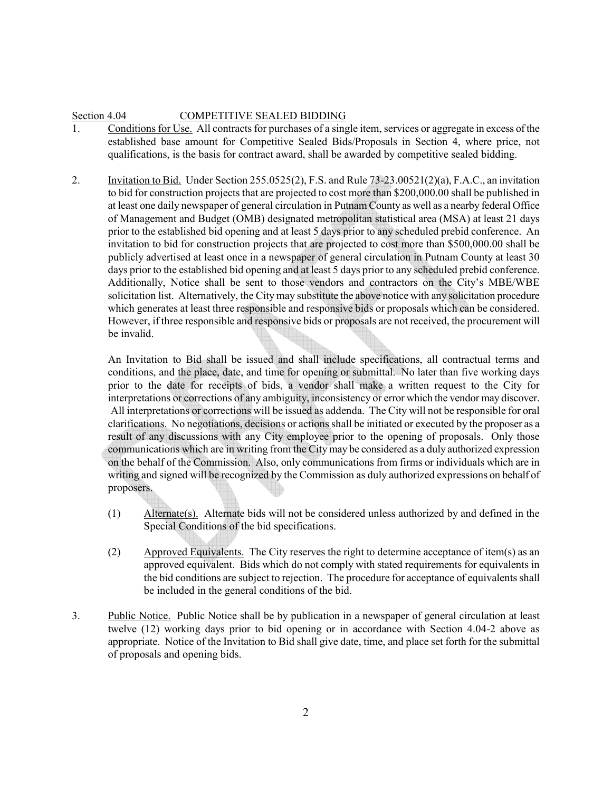### Section 4.04 COMPETITIVE SEALED BIDDING

- 1. Conditions for Use. All contracts for purchases of a single item, services or aggregate in excess of the established base amount for Competitive Sealed Bids/Proposals in Section 4, where price, not qualifications, is the basis for contract award, shall be awarded by competitive sealed bidding.
- 2. Invitation to Bid. Under Section 255.0525(2), F.S. and Rule 73-23.00521(2)(a), F.A.C., an invitation to bid for construction projects that are projected to cost more than \$200,000.00 shall be published in at least one daily newspaper of general circulation in Putnam County as well as a nearby federal Office of Management and Budget (OMB) designated metropolitan statistical area (MSA) at least 21 days prior to the established bid opening and at least 5 days prior to any scheduled prebid conference. An invitation to bid for construction projects that are projected to cost more than \$500,000.00 shall be publicly advertised at least once in a newspaper of general circulation in Putnam County at least 30 days prior to the established bid opening and at least 5 days prior to any scheduled prebid conference. Additionally, Notice shall be sent to those vendors and contractors on the City's MBE/WBE solicitation list. Alternatively, the City may substitute the above notice with any solicitation procedure which generates at least three responsible and responsive bids or proposals which can be considered. However, if three responsible and responsive bids or proposals are not received, the procurement will be invalid.

An Invitation to Bid shall be issued and shall include specifications, all contractual terms and conditions, and the place, date, and time for opening or submittal. No later than five working days prior to the date for receipts of bids, a vendor shall make a written request to the City for interpretations or corrections of any ambiguity, inconsistency or error which the vendor may discover. All interpretations or corrections will be issued as addenda. The City will not be responsible for oral clarifications. No negotiations, decisions or actions shall be initiated or executed by the proposer as a result of any discussions with any City employee prior to the opening of proposals. Only those communications which are in writing from the City may be considered as a duly authorized expression on the behalf of the Commission. Also, only communications from firms or individuals which are in writing and signed will be recognized by the Commission as duly authorized expressions on behalf of proposers.

- (1) Alternate(s). Alternate bids will not be considered unless authorized by and defined in the Special Conditions of the bid specifications.
- (2) Approved Equivalents. The City reserves the right to determine acceptance of item(s) as an approved equivalent. Bids which do not comply with stated requirements for equivalents in the bid conditions are subject to rejection. The procedure for acceptance of equivalents shall be included in the general conditions of the bid.
- 3. Public Notice. Public Notice shall be by publication in a newspaper of general circulation at least twelve (12) working days prior to bid opening or in accordance with Section 4.04-2 above as appropriate. Notice of the Invitation to Bid shall give date, time, and place set forth for the submittal of proposals and opening bids.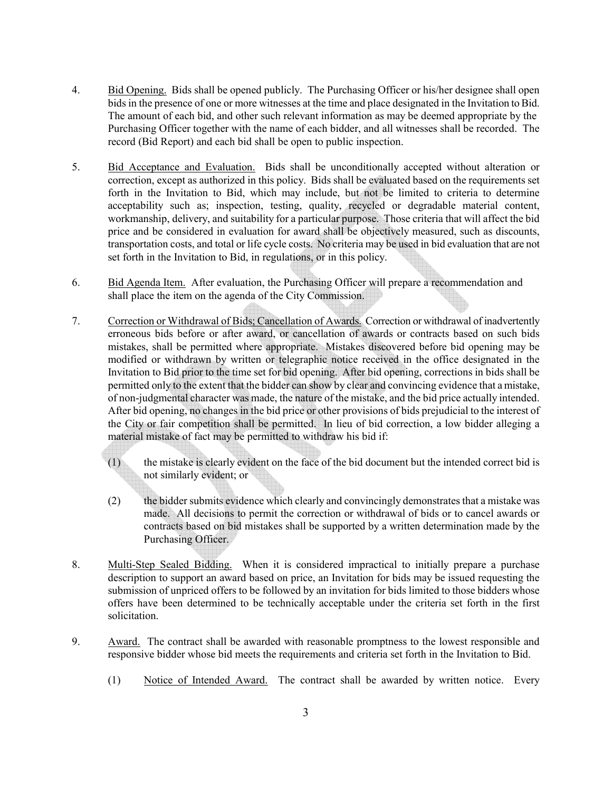- 4. Bid Opening. Bids shall be opened publicly. The Purchasing Officer or his/her designee shall open bids in the presence of one or more witnesses at the time and place designated in the Invitation to Bid. The amount of each bid, and other such relevant information as may be deemed appropriate by the Purchasing Officer together with the name of each bidder, and all witnesses shall be recorded. The record (Bid Report) and each bid shall be open to public inspection.
- 5. Bid Acceptance and Evaluation. Bids shall be unconditionally accepted without alteration or correction, except as authorized in this policy. Bids shall be evaluated based on the requirements set forth in the Invitation to Bid, which may include, but not be limited to criteria to determine acceptability such as; inspection, testing, quality, recycled or degradable material content, workmanship, delivery, and suitability for a particular purpose. Those criteria that will affect the bid price and be considered in evaluation for award shall be objectively measured, such as discounts, transportation costs, and total or life cycle costs. No criteria may be used in bid evaluation that are not set forth in the Invitation to Bid, in regulations, or in this policy.
- 6. Bid Agenda Item. After evaluation, the Purchasing Officer will prepare a recommendation and shall place the item on the agenda of the City Commission.
- 7. Correction or Withdrawal of Bids; Cancellation of Awards. Correction or withdrawal of inadvertently erroneous bids before or after award, or cancellation of awards or contracts based on such bids mistakes, shall be permitted where appropriate. Mistakes discovered before bid opening may be modified or withdrawn by written or telegraphic notice received in the office designated in the Invitation to Bid prior to the time set for bid opening. After bid opening, corrections in bids shall be permitted only to the extent that the bidder can show by clear and convincing evidence that a mistake, of non-judgmental character was made, the nature of the mistake, and the bid price actually intended. After bid opening, no changes in the bid price or other provisions of bids prejudicial to the interest of the City or fair competition shall be permitted. In lieu of bid correction, a low bidder alleging a material mistake of fact may be permitted to withdraw his bid if:
	- (1) the mistake is clearly evident on the face of the bid document but the intended correct bid is not similarly evident; or
	- (2) the bidder submits evidence which clearly and convincingly demonstrates that a mistake was made. All decisions to permit the correction or withdrawal of bids or to cancel awards or contracts based on bid mistakes shall be supported by a written determination made by the Purchasing Officer.
- 8. Multi-Step Sealed Bidding. When it is considered impractical to initially prepare a purchase description to support an award based on price, an Invitation for bids may be issued requesting the submission of unpriced offers to be followed by an invitation for bids limited to those bidders whose offers have been determined to be technically acceptable under the criteria set forth in the first solicitation.
- 9. Award. The contract shall be awarded with reasonable promptness to the lowest responsible and responsive bidder whose bid meets the requirements and criteria set forth in the Invitation to Bid.
	- (1) Notice of Intended Award. The contract shall be awarded by written notice. Every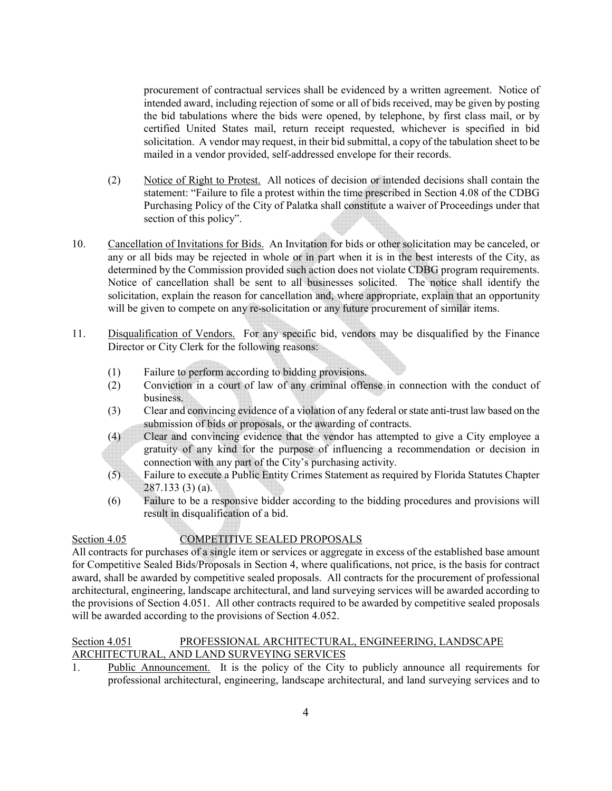procurement of contractual services shall be evidenced by a written agreement. Notice of intended award, including rejection of some or all of bids received, may be given by posting the bid tabulations where the bids were opened, by telephone, by first class mail, or by certified United States mail, return receipt requested, whichever is specified in bid solicitation. A vendor may request, in their bid submittal, a copy of the tabulation sheet to be mailed in a vendor provided, self-addressed envelope for their records.

- (2) Notice of Right to Protest. All notices of decision or intended decisions shall contain the statement: "Failure to file a protest within the time prescribed in Section 4.08 of the CDBG Purchasing Policy of the City of Palatka shall constitute a waiver of Proceedings under that section of this policy".
- 10. Cancellation of Invitations for Bids. An Invitation for bids or other solicitation may be canceled, or any or all bids may be rejected in whole or in part when it is in the best interests of the City, as determined by the Commission provided such action does not violate CDBG program requirements. Notice of cancellation shall be sent to all businesses solicited. The notice shall identify the solicitation, explain the reason for cancellation and, where appropriate, explain that an opportunity will be given to compete on any re-solicitation or any future procurement of similar items.
- 11. Disqualification of Vendors. For any specific bid, vendors may be disqualified by the Finance Director or City Clerk for the following reasons:
	- (1) Failure to perform according to bidding provisions.
	- (2) Conviction in a court of law of any criminal offense in connection with the conduct of business.
	- (3) Clear and convincing evidence of a violation of any federal or state anti-trust law based on the submission of bids or proposals, or the awarding of contracts.
	- (4) Clear and convincing evidence that the vendor has attempted to give a City employee a gratuity of any kind for the purpose of influencing a recommendation or decision in connection with any part of the City's purchasing activity.
	- (5) Failure to execute a Public Entity Crimes Statement as required by Florida Statutes Chapter 287.133 (3) (a).
	- (6) Failure to be a responsive bidder according to the bidding procedures and provisions will result in disqualification of a bid.

# Section 4.05 COMPETITIVE SEALED PROPOSALS

All contracts for purchases of a single item or services or aggregate in excess of the established base amount for Competitive Sealed Bids/Proposals in Section 4, where qualifications, not price, is the basis for contract award, shall be awarded by competitive sealed proposals. All contracts for the procurement of professional architectural, engineering, landscape architectural, and land surveying services will be awarded according to the provisions of Section 4.051. All other contracts required to be awarded by competitive sealed proposals will be awarded according to the provisions of Section 4.052.

### Section 4.051 PROFESSIONAL ARCHITECTURAL, ENGINEERING, LANDSCAPE ARCHITECTURAL, AND LAND SURVEYING SERVICES

1. Public Announcement. It is the policy of the City to publicly announce all requirements for professional architectural, engineering, landscape architectural, and land surveying services and to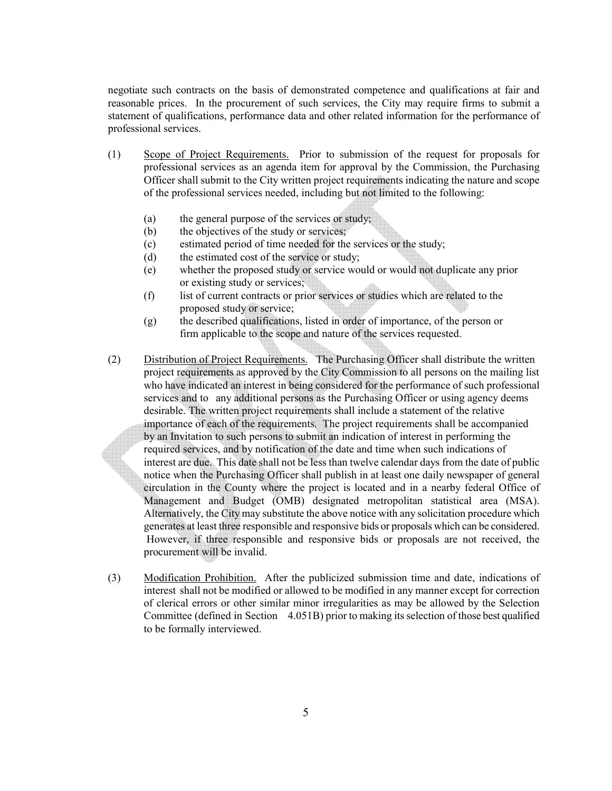negotiate such contracts on the basis of demonstrated competence and qualifications at fair and reasonable prices. In the procurement of such services, the City may require firms to submit a statement of qualifications, performance data and other related information for the performance of professional services.

- (1) Scope of Project Requirements. Prior to submission of the request for proposals for professional services as an agenda item for approval by the Commission, the Purchasing Officer shall submit to the City written project requirements indicating the nature and scope of the professional services needed, including but not limited to the following:
	- (a) the general purpose of the services or study;
	- (b) the objectives of the study or services;
	- (c) estimated period of time needed for the services or the study;
	- (d) the estimated cost of the service or study;
	- (e) whether the proposed study or service would or would not duplicate any prior or existing study or services;
	- (f) list of current contracts or prior services or studies which are related to the proposed study or service;
	- (g) the described qualifications, listed in order of importance, of the person or firm applicable to the scope and nature of the services requested.
- (2) Distribution of Project Requirements. The Purchasing Officer shall distribute the written project requirements as approved by the City Commission to all persons on the mailing list who have indicated an interest in being considered for the performance of such professional services and to any additional persons as the Purchasing Officer or using agency deems desirable. The written project requirements shall include a statement of the relative importance of each of the requirements. The project requirements shall be accompanied by an Invitation to such persons to submit an indication of interest in performing the required services, and by notification of the date and time when such indications of interest are due. This date shall not be less than twelve calendar days from the date of public notice when the Purchasing Officer shall publish in at least one daily newspaper of general circulation in the County where the project is located and in a nearby federal Office of Management and Budget (OMB) designated metropolitan statistical area (MSA). Alternatively, the City may substitute the above notice with any solicitation procedure which generates at least three responsible and responsive bids or proposals which can be considered. However, if three responsible and responsive bids or proposals are not received, the procurement will be invalid.
- (3) Modification Prohibition. After the publicized submission time and date, indications of interest shall not be modified or allowed to be modified in any manner except for correction of clerical errors or other similar minor irregularities as may be allowed by the Selection Committee (defined in Section 4.051B) prior to making its selection of those best qualified to be formally interviewed.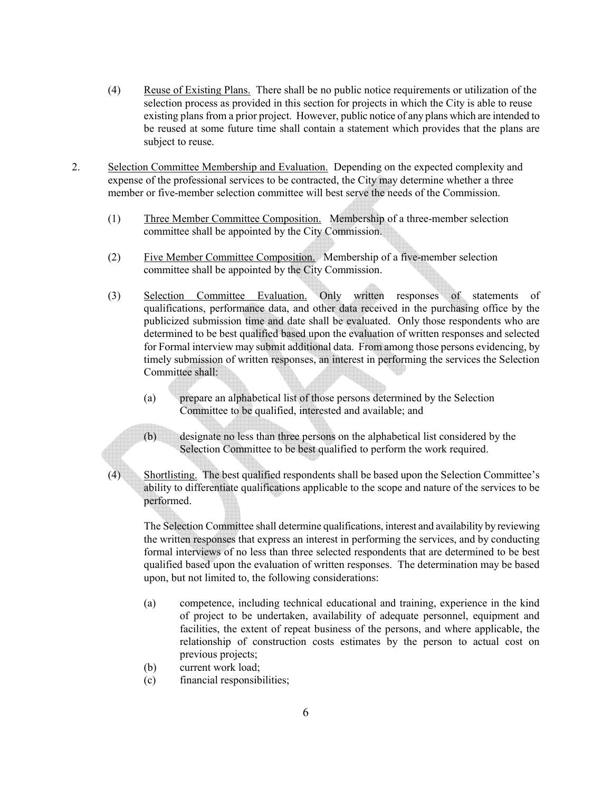- (4) Reuse of Existing Plans. There shall be no public notice requirements or utilization of the selection process as provided in this section for projects in which the City is able to reuse existing plans from a prior project. However, public notice of any plans which are intended to be reused at some future time shall contain a statement which provides that the plans are subject to reuse.
- 2. Selection Committee Membership and Evaluation. Depending on the expected complexity and expense of the professional services to be contracted, the City may determine whether a three member or five-member selection committee will best serve the needs of the Commission.
	- (1) Three Member Committee Composition. Membership of a three-member selection committee shall be appointed by the City Commission.
	- (2) Five Member Committee Composition. Membership of a five-member selection committee shall be appointed by the City Commission.
	- (3) Selection Committee Evaluation. Only written responses of statements of qualifications, performance data, and other data received in the purchasing office by the publicized submission time and date shall be evaluated. Only those respondents who are determined to be best qualified based upon the evaluation of written responses and selected for Formal interview may submit additional data. From among those persons evidencing, by timely submission of written responses, an interest in performing the services the Selection Committee shall:
		- (a) prepare an alphabetical list of those persons determined by the Selection Committee to be qualified, interested and available; and
		- (b) designate no less than three persons on the alphabetical list considered by the Selection Committee to be best qualified to perform the work required.
	- (4) Shortlisting. The best qualified respondents shall be based upon the Selection Committee's ability to differentiate qualifications applicable to the scope and nature of the services to be performed.

The Selection Committee shall determine qualifications, interest and availability by reviewing the written responses that express an interest in performing the services, and by conducting formal interviews of no less than three selected respondents that are determined to be best qualified based upon the evaluation of written responses. The determination may be based upon, but not limited to, the following considerations:

- (a) competence, including technical educational and training, experience in the kind of project to be undertaken, availability of adequate personnel, equipment and facilities, the extent of repeat business of the persons, and where applicable, the relationship of construction costs estimates by the person to actual cost on previous projects;
- (b) current work load;
- (c) financial responsibilities;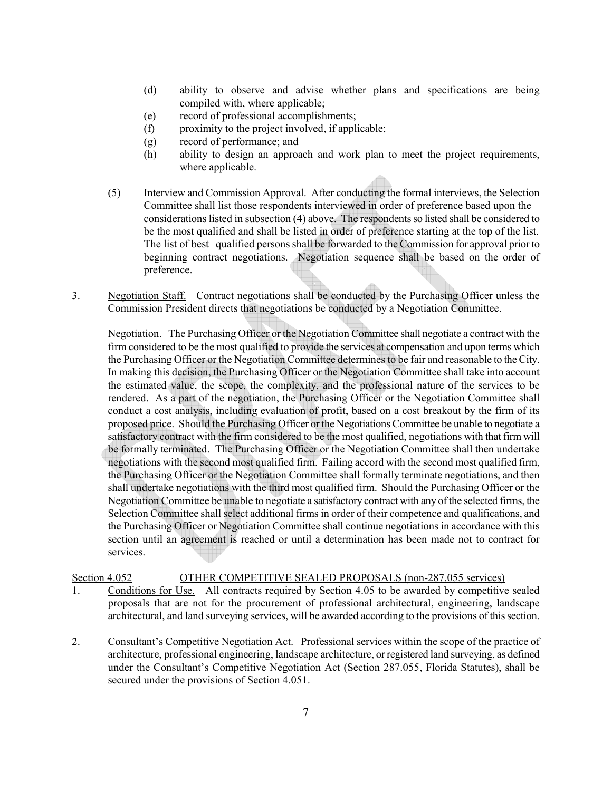- (d) ability to observe and advise whether plans and specifications are being compiled with, where applicable;
- (e) record of professional accomplishments;
- (f) proximity to the project involved, if applicable;
- (g) record of performance; and
- (h) ability to design an approach and work plan to meet the project requirements, where applicable.
- (5) Interview and Commission Approval. After conducting the formal interviews, the Selection Committee shall list those respondents interviewed in order of preference based upon the considerations listed in subsection (4) above. The respondents so listed shall be considered to be the most qualified and shall be listed in order of preference starting at the top of the list. The list of best qualified persons shall be forwarded to the Commission for approval prior to beginning contract negotiations. Negotiation sequence shall be based on the order of preference.
- 3. Negotiation Staff. Contract negotiations shall be conducted by the Purchasing Officer unless the Commission President directs that negotiations be conducted by a Negotiation Committee.

Negotiation. The Purchasing Officer or the Negotiation Committee shall negotiate a contract with the firm considered to be the most qualified to provide the services at compensation and upon terms which the Purchasing Officer or the Negotiation Committee determines to be fair and reasonable to the City. In making this decision, the Purchasing Officer or the Negotiation Committee shall take into account the estimated value, the scope, the complexity, and the professional nature of the services to be rendered. As a part of the negotiation, the Purchasing Officer or the Negotiation Committee shall conduct a cost analysis, including evaluation of profit, based on a cost breakout by the firm of its proposed price. Should the Purchasing Officer or the Negotiations Committee be unable to negotiate a satisfactory contract with the firm considered to be the most qualified, negotiations with that firm will be formally terminated. The Purchasing Officer or the Negotiation Committee shall then undertake negotiations with the second most qualified firm. Failing accord with the second most qualified firm, the Purchasing Officer or the Negotiation Committee shall formally terminate negotiations, and then shall undertake negotiations with the third most qualified firm. Should the Purchasing Officer or the Negotiation Committee be unable to negotiate a satisfactory contract with any of the selected firms, the Selection Committee shall select additional firms in order of their competence and qualifications, and the Purchasing Officer or Negotiation Committee shall continue negotiations in accordance with this section until an agreement is reached or until a determination has been made not to contract for services.

### Section 4.052 OTHER COMPETITIVE SEALED PROPOSALS (non-287.055 services)

- 1. Conditions for Use. All contracts required by Section 4.05 to be awarded by competitive sealed proposals that are not for the procurement of professional architectural, engineering, landscape architectural, and land surveying services, will be awarded according to the provisions of this section.
- 2. Consultant's Competitive Negotiation Act. Professional services within the scope of the practice of architecture, professional engineering, landscape architecture, or registered land surveying, as defined under the Consultant's Competitive Negotiation Act (Section 287.055, Florida Statutes), shall be secured under the provisions of Section 4.051.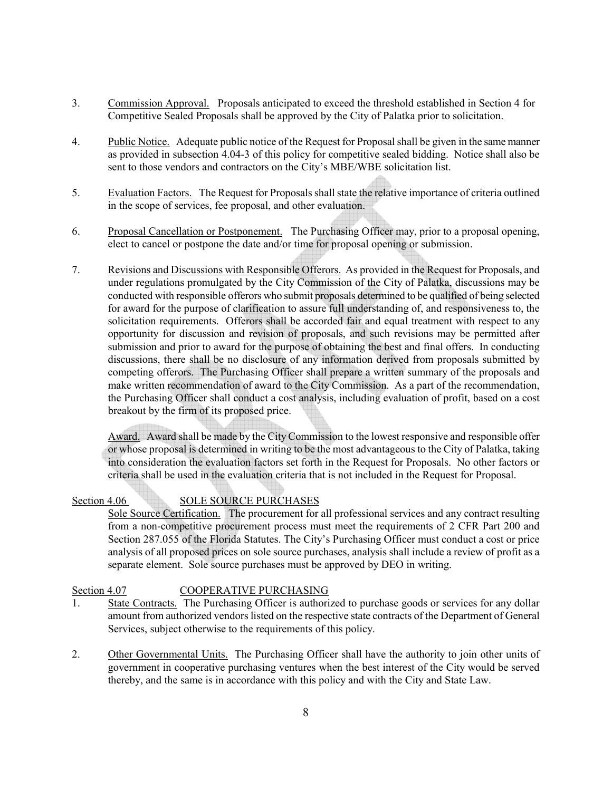- 3. Commission Approval. Proposals anticipated to exceed the threshold established in Section 4 for Competitive Sealed Proposals shall be approved by the City of Palatka prior to solicitation.
- 4. Public Notice. Adequate public notice of the Request for Proposal shall be given in the same manner as provided in subsection 4.04-3 of this policy for competitive sealed bidding. Notice shall also be sent to those vendors and contractors on the City's MBE/WBE solicitation list.
- 5. Evaluation Factors. The Request for Proposals shall state the relative importance of criteria outlined in the scope of services, fee proposal, and other evaluation.
- 6. Proposal Cancellation or Postponement. The Purchasing Officer may, prior to a proposal opening, elect to cancel or postpone the date and/or time for proposal opening or submission.
- 7. Revisions and Discussions with Responsible Offerors. As provided in the Request for Proposals, and under regulations promulgated by the City Commission of the City of Palatka, discussions may be conducted with responsible offerors who submit proposals determined to be qualified of being selected for award for the purpose of clarification to assure full understanding of, and responsiveness to, the solicitation requirements. Offerors shall be accorded fair and equal treatment with respect to any opportunity for discussion and revision of proposals, and such revisions may be permitted after submission and prior to award for the purpose of obtaining the best and final offers. In conducting discussions, there shall be no disclosure of any information derived from proposals submitted by competing offerors. The Purchasing Officer shall prepare a written summary of the proposals and make written recommendation of award to the City Commission. As a part of the recommendation, the Purchasing Officer shall conduct a cost analysis, including evaluation of profit, based on a cost breakout by the firm of its proposed price.

Award. Award shall be made by the City Commission to the lowest responsive and responsible offer or whose proposal is determined in writing to be the most advantageous to the City of Palatka, taking into consideration the evaluation factors set forth in the Request for Proposals. No other factors or criteria shall be used in the evaluation criteria that is not included in the Request for Proposal.

### Section 4.06 SOLE SOURCE PURCHASES

Sole Source Certification. The procurement for all professional services and any contract resulting from a non-competitive procurement process must meet the requirements of 2 CFR Part 200 and Section 287.055 of the Florida Statutes. The City's Purchasing Officer must conduct a cost or price analysis of all proposed prices on sole source purchases, analysis shall include a review of profit as a separate element. Sole source purchases must be approved by DEO in writing.

### Section 4.07 COOPERATIVE PURCHASING

- 1. State Contracts. The Purchasing Officer is authorized to purchase goods or services for any dollar amount from authorized vendors listed on the respective state contracts of the Department of General Services, subject otherwise to the requirements of this policy.
- 2. Other Governmental Units. The Purchasing Officer shall have the authority to join other units of government in cooperative purchasing ventures when the best interest of the City would be served thereby, and the same is in accordance with this policy and with the City and State Law.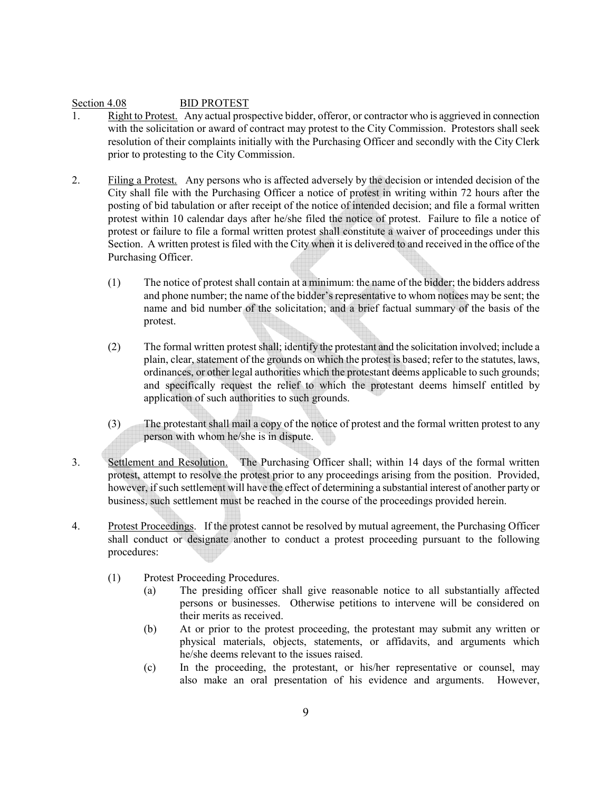### Section 4.08 BID PROTEST

- 1. Right to Protest. Any actual prospective bidder, offeror, or contractor who is aggrieved in connection with the solicitation or award of contract may protest to the City Commission. Protestors shall seek resolution of their complaints initially with the Purchasing Officer and secondly with the City Clerk prior to protesting to the City Commission.
- 2. Filing a Protest. Any persons who is affected adversely by the decision or intended decision of the City shall file with the Purchasing Officer a notice of protest in writing within 72 hours after the posting of bid tabulation or after receipt of the notice of intended decision; and file a formal written protest within 10 calendar days after he/she filed the notice of protest. Failure to file a notice of protest or failure to file a formal written protest shall constitute a waiver of proceedings under this Section. A written protest is filed with the City when it is delivered to and received in the office of the Purchasing Officer.
	- (1) The notice of protest shall contain at a minimum: the name of the bidder; the bidders address and phone number; the name of the bidder's representative to whom notices may be sent; the name and bid number of the solicitation; and a brief factual summary of the basis of the protest.
	- (2) The formal written protest shall; identify the protestant and the solicitation involved; include a plain, clear, statement of the grounds on which the protest is based; refer to the statutes, laws, ordinances, or other legal authorities which the protestant deems applicable to such grounds; and specifically request the relief to which the protestant deems himself entitled by application of such authorities to such grounds.
	- (3) The protestant shall mail a copy of the notice of protest and the formal written protest to any person with whom he/she is in dispute.
- 3. Settlement and Resolution. The Purchasing Officer shall; within 14 days of the formal written protest, attempt to resolve the protest prior to any proceedings arising from the position. Provided, however, if such settlement will have the effect of determining a substantial interest of another party or business, such settlement must be reached in the course of the proceedings provided herein.
- 4. Protest Proceedings. If the protest cannot be resolved by mutual agreement, the Purchasing Officer shall conduct or designate another to conduct a protest proceeding pursuant to the following procedures:
	- (1) Protest Proceeding Procedures.
		- (a) The presiding officer shall give reasonable notice to all substantially affected persons or businesses. Otherwise petitions to intervene will be considered on their merits as received.
		- (b) At or prior to the protest proceeding, the protestant may submit any written or physical materials, objects, statements, or affidavits, and arguments which he/she deems relevant to the issues raised.
		- (c) In the proceeding, the protestant, or his/her representative or counsel, may also make an oral presentation of his evidence and arguments. However,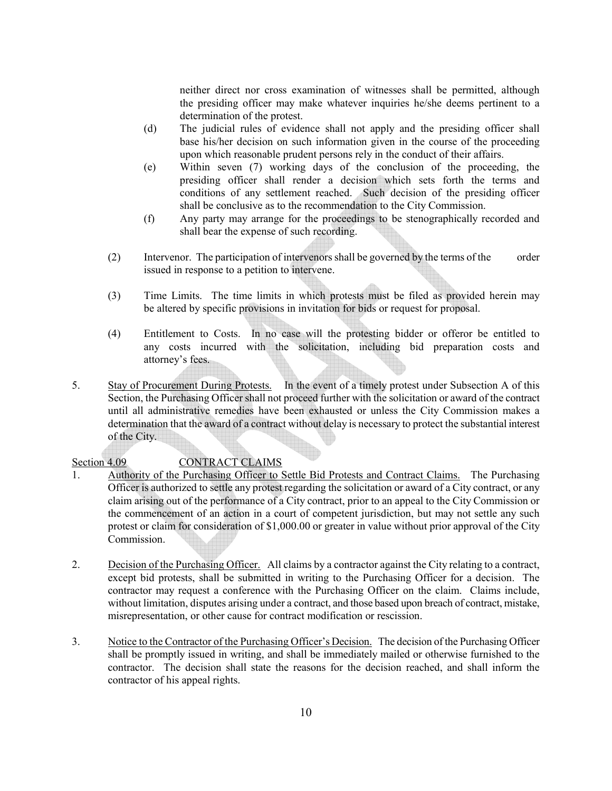neither direct nor cross examination of witnesses shall be permitted, although the presiding officer may make whatever inquiries he/she deems pertinent to a determination of the protest.

- (d) The judicial rules of evidence shall not apply and the presiding officer shall base his/her decision on such information given in the course of the proceeding upon which reasonable prudent persons rely in the conduct of their affairs.
- (e) Within seven (7) working days of the conclusion of the proceeding, the presiding officer shall render a decision which sets forth the terms and conditions of any settlement reached. Such decision of the presiding officer shall be conclusive as to the recommendation to the City Commission.
- (f) Any party may arrange for the proceedings to be stenographically recorded and shall bear the expense of such recording.
- (2) Intervenor. The participation of intervenors shall be governed by the terms of the order issued in response to a petition to intervene.
- (3) Time Limits. The time limits in which protests must be filed as provided herein may be altered by specific provisions in invitation for bids or request for proposal.
- (4) Entitlement to Costs. In no case will the protesting bidder or offeror be entitled to any costs incurred with the solicitation, including bid preparation costs and attorney's fees.
- 5. Stay of Procurement During Protests. In the event of a timely protest under Subsection A of this Section, the Purchasing Officer shall not proceed further with the solicitation or award of the contract until all administrative remedies have been exhausted or unless the City Commission makes a determination that the award of a contract without delay is necessary to protect the substantial interest of the City.

### Section 4.09 CONTRACT CLAIMS

- 1. Authority of the Purchasing Officer to Settle Bid Protests and Contract Claims. The Purchasing Officer is authorized to settle any protest regarding the solicitation or award of a City contract, or any claim arising out of the performance of a City contract, prior to an appeal to the City Commission or the commencement of an action in a court of competent jurisdiction, but may not settle any such protest or claim for consideration of \$1,000.00 or greater in value without prior approval of the City Commission.
- 2. Decision of the Purchasing Officer. All claims by a contractor against the City relating to a contract, except bid protests, shall be submitted in writing to the Purchasing Officer for a decision. The contractor may request a conference with the Purchasing Officer on the claim. Claims include, without limitation, disputes arising under a contract, and those based upon breach of contract, mistake, misrepresentation, or other cause for contract modification or rescission.
- 3. Notice to the Contractor of the Purchasing Officer's Decision. The decision of the Purchasing Officer shall be promptly issued in writing, and shall be immediately mailed or otherwise furnished to the contractor. The decision shall state the reasons for the decision reached, and shall inform the contractor of his appeal rights.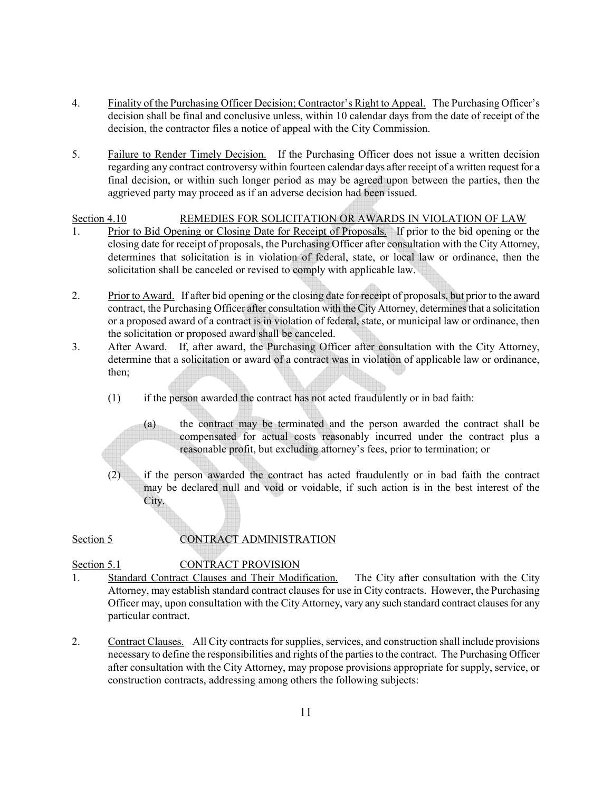- 4. Finality of the Purchasing Officer Decision; Contractor's Right to Appeal. The Purchasing Officer's decision shall be final and conclusive unless, within 10 calendar days from the date of receipt of the decision, the contractor files a notice of appeal with the City Commission.
- 5. Failure to Render Timely Decision. If the Purchasing Officer does not issue a written decision regarding any contract controversy within fourteen calendar days after receipt of a written request for a final decision, or within such longer period as may be agreed upon between the parties, then the aggrieved party may proceed as if an adverse decision had been issued.

### Section 4.10 REMEDIES FOR SOLICITATION OR AWARDS IN VIOLATION OF LAW

- 1. Prior to Bid Opening or Closing Date for Receipt of Proposals. If prior to the bid opening or the closing date for receipt of proposals, the Purchasing Officer after consultation with the City Attorney, determines that solicitation is in violation of federal, state, or local law or ordinance, then the solicitation shall be canceled or revised to comply with applicable law.
- 2. Prior to Award. If after bid opening or the closing date for receipt of proposals, but prior to the award contract, the Purchasing Officer after consultation with the City Attorney, determines that a solicitation or a proposed award of a contract is in violation of federal, state, or municipal law or ordinance, then the solicitation or proposed award shall be canceled.
- 3. After Award. If, after award, the Purchasing Officer after consultation with the City Attorney, determine that a solicitation or award of a contract was in violation of applicable law or ordinance, then;
	- (1) if the person awarded the contract has not acted fraudulently or in bad faith:
		- (a) the contract may be terminated and the person awarded the contract shall be compensated for actual costs reasonably incurred under the contract plus a reasonable profit, but excluding attorney's fees, prior to termination; or
	- (2) if the person awarded the contract has acted fraudulently or in bad faith the contract may be declared null and void or voidable, if such action is in the best interest of the City.

## Section 5 CONTRACT ADMINISTRATION

### Section 5.1 CONTRACT PROVISION

- 1. Standard Contract Clauses and Their Modification. The City after consultation with the City Attorney, may establish standard contract clauses for use in City contracts. However, the Purchasing Officer may, upon consultation with the City Attorney, vary any such standard contract clauses for any particular contract.
- 2. Contract Clauses. All City contracts for supplies, services, and construction shall include provisions necessary to define the responsibilities and rights of the parties to the contract. The Purchasing Officer after consultation with the City Attorney, may propose provisions appropriate for supply, service, or construction contracts, addressing among others the following subjects: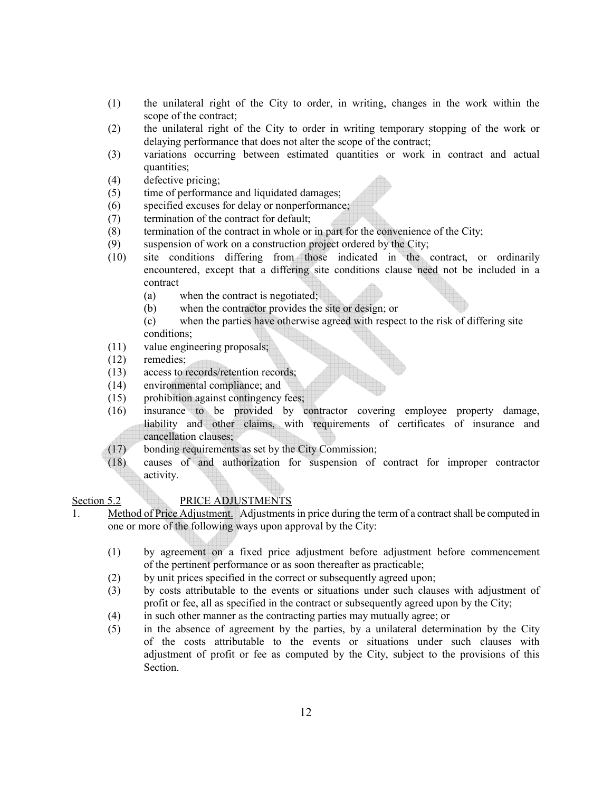- (1) the unilateral right of the City to order, in writing, changes in the work within the scope of the contract;
- (2) the unilateral right of the City to order in writing temporary stopping of the work or delaying performance that does not alter the scope of the contract;
- (3) variations occurring between estimated quantities or work in contract and actual quantities;
- (4) defective pricing;
- (5) time of performance and liquidated damages;
- (6) specified excuses for delay or nonperformance;
- (7) termination of the contract for default;
- (8) termination of the contract in whole or in part for the convenience of the City;
- (9) suspension of work on a construction project ordered by the City;
- (10) site conditions differing from those indicated in the contract, or ordinarily encountered, except that a differing site conditions clause need not be included in a contract
	- (a) when the contract is negotiated;
	- (b) when the contractor provides the site or design; or
	- (c) when the parties have otherwise agreed with respect to the risk of differing site conditions;
- (11) value engineering proposals;
- (12) remedies;
- (13) access to records/retention records;
- (14) environmental compliance; and
- (15) prohibition against contingency fees;
- (16) insurance to be provided by contractor covering employee property damage, liability and other claims, with requirements of certificates of insurance and cancellation clauses;
- (17) bonding requirements as set by the City Commission;
- (18) causes of and authorization for suspension of contract for improper contractor activity.

### Section 5.2 PRICE ADJUSTMENTS

- 1. Method of Price Adjustment. Adjustments in price during the term of a contract shall be computed in one or more of the following ways upon approval by the City:
	- (1) by agreement on a fixed price adjustment before adjustment before commencement of the pertinent performance or as soon thereafter as practicable;
	- (2) by unit prices specified in the correct or subsequently agreed upon;
	- (3) by costs attributable to the events or situations under such clauses with adjustment of profit or fee, all as specified in the contract or subsequently agreed upon by the City;
	- (4) in such other manner as the contracting parties may mutually agree; or
	- (5) in the absence of agreement by the parties, by a unilateral determination by the City of the costs attributable to the events or situations under such clauses with adjustment of profit or fee as computed by the City, subject to the provisions of this Section.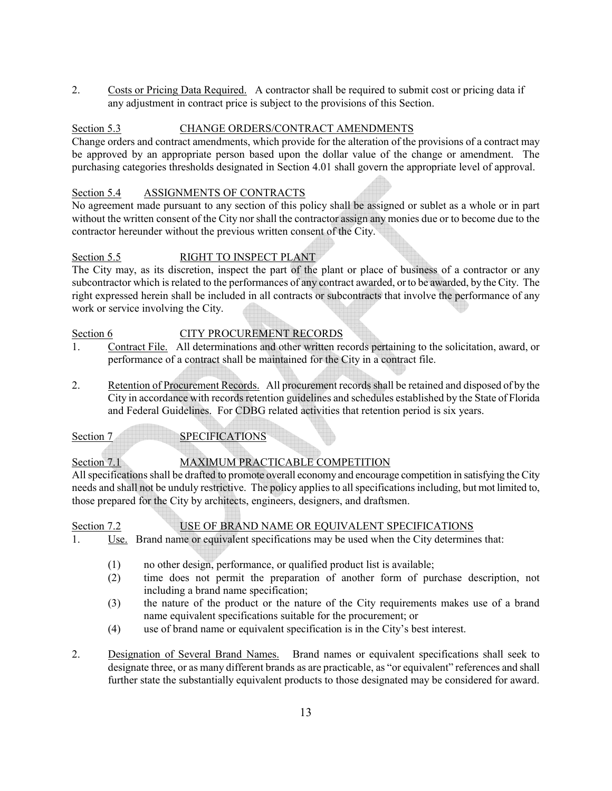2. Costs or Pricing Data Required. A contractor shall be required to submit cost or pricing data if any adjustment in contract price is subject to the provisions of this Section.

### Section 5.3 CHANGE ORDERS/CONTRACT AMENDMENTS

Change orders and contract amendments, which provide for the alteration of the provisions of a contract may be approved by an appropriate person based upon the dollar value of the change or amendment. The purchasing categories thresholds designated in Section 4.01 shall govern the appropriate level of approval.

### Section 5.4 ASSIGNMENTS OF CONTRACTS

No agreement made pursuant to any section of this policy shall be assigned or sublet as a whole or in part without the written consent of the City nor shall the contractor assign any monies due or to become due to the contractor hereunder without the previous written consent of the City.

### Section 5.5 RIGHT TO INSPECT PLANT

The City may, as its discretion, inspect the part of the plant or place of business of a contractor or any subcontractor which is related to the performances of any contract awarded, or to be awarded, by the City. The right expressed herein shall be included in all contracts or subcontracts that involve the performance of any work or service involving the City.

### Section 6 CITY PROCUREMENT RECORDS

- 1. Contract File. All determinations and other written records pertaining to the solicitation, award, or performance of a contract shall be maintained for the City in a contract file.
- 2. Retention of Procurement Records. All procurement records shall be retained and disposed of by the City in accordance with records retention guidelines and schedules established by the State of Florida and Federal Guidelines. For CDBG related activities that retention period is six years.

Section 7 SPECIFICATIONS

# Section 7.1 MAXIMUM PRACTICABLE COMPETITION

All specifications shall be drafted to promote overall economy and encourage competition in satisfying the City needs and shall not be unduly restrictive. The policy applies to all specifications including, but mot limited to, those prepared for the City by architects, engineers, designers, and draftsmen.

Section 7.2 USE OF BRAND NAME OR EQUIVALENT SPECIFICATIONS

- 1. Use. Brand name or equivalent specifications may be used when the City determines that:
	- (1) no other design, performance, or qualified product list is available;
	- (2) time does not permit the preparation of another form of purchase description, not including a brand name specification;
	- (3) the nature of the product or the nature of the City requirements makes use of a brand name equivalent specifications suitable for the procurement; or
	- (4) use of brand name or equivalent specification is in the City's best interest.
- 2. Designation of Several Brand Names. Brand names or equivalent specifications shall seek to designate three, or as many different brands as are practicable, as "or equivalent" references and shall further state the substantially equivalent products to those designated may be considered for award.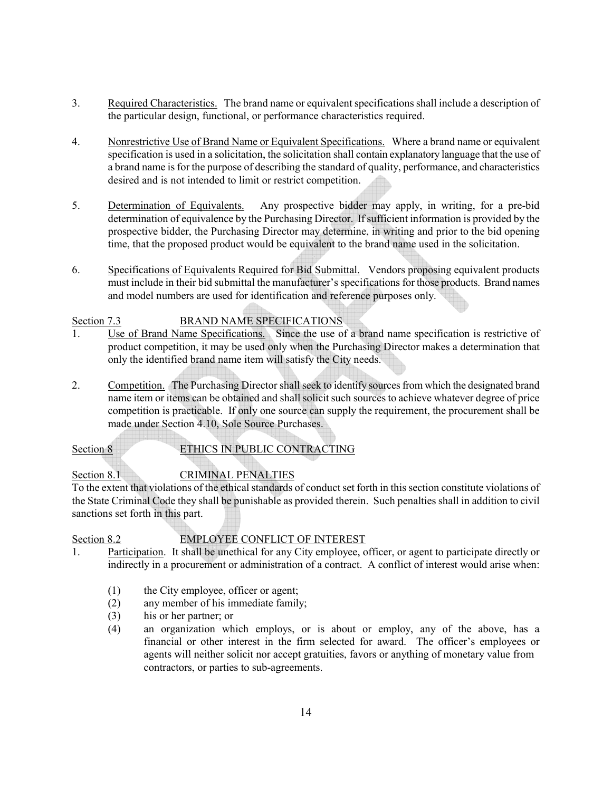- 3. Required Characteristics. The brand name or equivalent specifications shall include a description of the particular design, functional, or performance characteristics required.
- 4. Nonrestrictive Use of Brand Name or Equivalent Specifications. Where a brand name or equivalent specification is used in a solicitation, the solicitation shall contain explanatory language that the use of a brand name is for the purpose of describing the standard of quality, performance, and characteristics desired and is not intended to limit or restrict competition.
- 5. Determination of Equivalents. Any prospective bidder may apply, in writing, for a pre-bid determination of equivalence by the Purchasing Director. If sufficient information is provided by the prospective bidder, the Purchasing Director may determine, in writing and prior to the bid opening time, that the proposed product would be equivalent to the brand name used in the solicitation.
- 6. Specifications of Equivalents Required for Bid Submittal. Vendors proposing equivalent products must include in their bid submittal the manufacturer's specifications for those products. Brand names and model numbers are used for identification and reference purposes only.

# Section 7.3 BRAND NAME SPECIFICATIONS

- 1. Use of Brand Name Specifications. Since the use of a brand name specification is restrictive of product competition, it may be used only when the Purchasing Director makes a determination that only the identified brand name item will satisfy the City needs.
- 2. Competition. The Purchasing Director shall seek to identify sources from which the designated brand name item or items can be obtained and shall solicit such sources to achieve whatever degree of price competition is practicable. If only one source can supply the requirement, the procurement shall be made under Section 4.10, Sole Source Purchases.

## Section 8 ETHICS IN PUBLIC CONTRACTING

# Section 8.1 CRIMINAL PENALTIES

To the extent that violations of the ethical standards of conduct set forth in this section constitute violations of the State Criminal Code they shall be punishable as provided therein. Such penalties shall in addition to civil sanctions set forth in this part.

# Section 8.2 EMPLOYEE CONFLICT OF INTEREST

- 1. Participation. It shall be unethical for any City employee, officer, or agent to participate directly or indirectly in a procurement or administration of a contract. A conflict of interest would arise when:
	- (1) the City employee, officer or agent;
	- (2) any member of his immediate family;
	- (3) his or her partner; or
	- (4) an organization which employs, or is about or employ, any of the above, has a financial or other interest in the firm selected for award. The officer's employees or agents will neither solicit nor accept gratuities, favors or anything of monetary value from contractors, or parties to sub-agreements.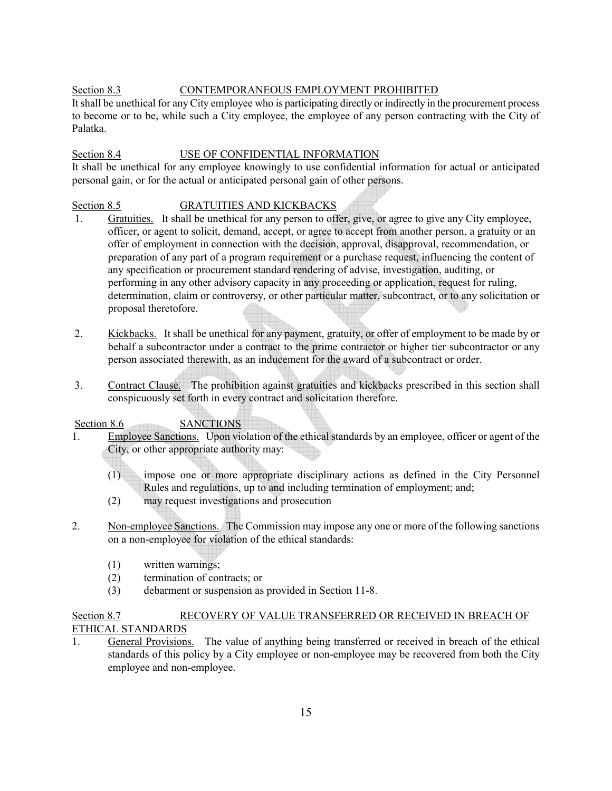### Section 8.3 CONTEMPORANEOUS EMPLOYMENT PROHIBITED

It shall be unethical for any City employee who is participating directly or indirectly in the procurement process to become or to be, while such a City employee, the employee of any person contracting with the City of Palatka.

### Section 8.4 USE OF CONFIDENTIAL INFORMATION

It shall be unethical for any employee knowingly to use confidential information for actual or anticipated personal gain, or for the actual or anticipated personal gain of other persons.

### Section 8.5 GRATUITIES AND KICKBACKS

- 1. Gratuities. It shall be unethical for any person to offer, give, or agree to give any City employee, officer, or agent to solicit, demand, accept, or agree to accept from another person, a gratuity or an offer of employment in connection with the decision, approval, disapproval, recommendation, or preparation of any part of a program requirement or a purchase request, influencing the content of any specification or procurement standard rendering of advise, investigation, auditing, or performing in any other advisory capacity in any proceeding or application, request for ruling, determination, claim or controversy, or other particular matter, subcontract, or to any solicitation or proposal theretofore.
- 2. Kickbacks. It shall be unethical for any payment, gratuity, or offer of employment to be made by or behalf a subcontractor under a contract to the prime contractor or higher tier subcontractor or any person associated therewith, as an inducement for the award of a subcontract or order.
- 3. Contract Clause. The prohibition against gratuities and kickbacks prescribed in this section shall conspicuously set forth in every contract and solicitation therefore.

Section 8.6 SANCTIONS

- 1. Employee Sanctions. Upon violation of the ethical standards by an employee, officer or agent of the City, or other appropriate authority may:
	- (1) impose one or more appropriate disciplinary actions as defined in the City Personnel Rules and regulations, up to and including termination of employment; and;
	- (2) may request investigations and prosecution
- 2. Non-employee Sanctions. The Commission may impose any one or more of the following sanctions on a non-employee for violation of the ethical standards:
	- (1) written warnings;
	- (2) termination of contracts; or
	- (3) debarment or suspension as provided in Section 11-8.

# Section 8.7 RECOVERY OF VALUE TRANSFERRED OR RECEIVED IN BREACH OF ETHICAL STANDARDS

1. General Provisions. The value of anything being transferred or received in breach of the ethical standards of this policy by a City employee or non-employee may be recovered from both the City employee and non-employee.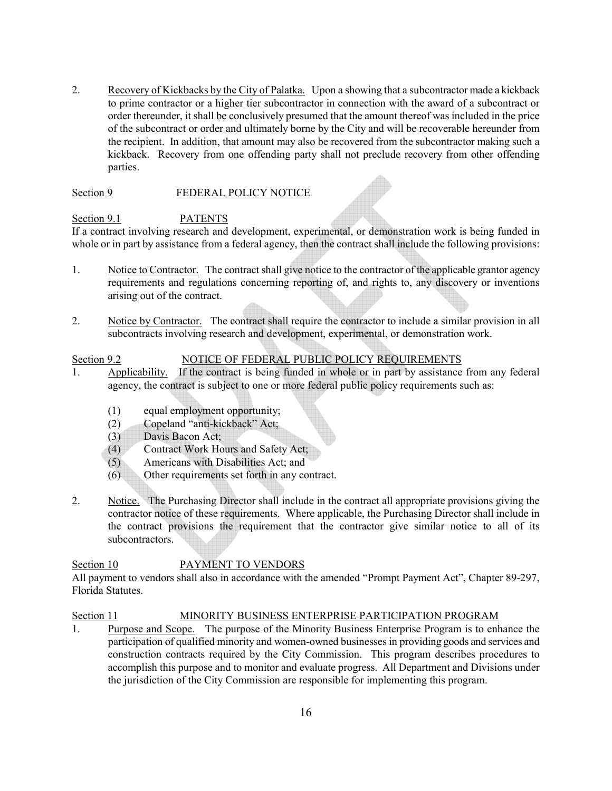2. Recovery of Kickbacks by the City of Palatka. Upon a showing that a subcontractor made a kickback to prime contractor or a higher tier subcontractor in connection with the award of a subcontract or order thereunder, it shall be conclusively presumed that the amount thereof was included in the price of the subcontract or order and ultimately borne by the City and will be recoverable hereunder from the recipient. In addition, that amount may also be recovered from the subcontractor making such a kickback. Recovery from one offending party shall not preclude recovery from other offending parties.

### Section 9 FEDERAL POLICY NOTICE

### Section 9.1 PATENTS

If a contract involving research and development, experimental, or demonstration work is being funded in whole or in part by assistance from a federal agency, then the contract shall include the following provisions:

- 1. Notice to Contractor. The contract shall give notice to the contractor of the applicable grantor agency requirements and regulations concerning reporting of, and rights to, any discovery or inventions arising out of the contract.
- 2. Notice by Contractor. The contract shall require the contractor to include a similar provision in all subcontracts involving research and development, experimental, or demonstration work.

### Section 9.2 NOTICE OF FEDERAL PUBLIC POLICY REQUIREMENTS

- 1. Applicability. If the contract is being funded in whole or in part by assistance from any federal agency, the contract is subject to one or more federal public policy requirements such as:
	- (1) equal employment opportunity;
	- (2) Copeland "anti-kickback" Act;
	- (3) Davis Bacon Act;
	- (4) Contract Work Hours and Safety Act;
	- (5) Americans with Disabilities Act; and
	- (6) Other requirements set forth in any contract.
- 2. Notice. The Purchasing Director shall include in the contract all appropriate provisions giving the contractor notice of these requirements. Where applicable, the Purchasing Director shall include in the contract provisions the requirement that the contractor give similar notice to all of its subcontractors.

## Section 10 PAYMENT TO VENDORS

All payment to vendors shall also in accordance with the amended "Prompt Payment Act", Chapter 89-297, Florida Statutes.

### Section 11 MINORITY BUSINESS ENTERPRISE PARTICIPATION PROGRAM

1. Purpose and Scope. The purpose of the Minority Business Enterprise Program is to enhance the participation of qualified minority and women-owned businesses in providing goods and services and construction contracts required by the City Commission. This program describes procedures to accomplish this purpose and to monitor and evaluate progress. All Department and Divisions under the jurisdiction of the City Commission are responsible for implementing this program.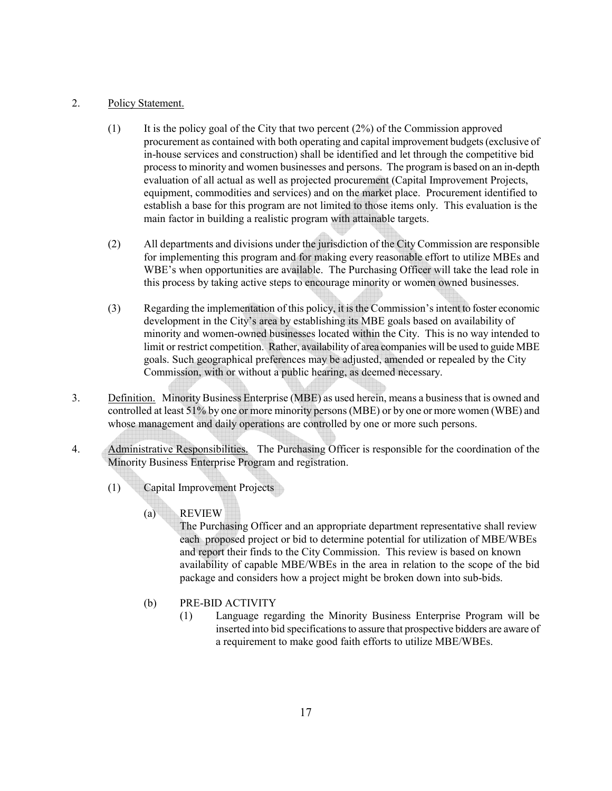### 2. Policy Statement.

- $(1)$  It is the policy goal of the City that two percent  $(2%)$  of the Commission approved procurement as contained with both operating and capital improvement budgets (exclusive of in-house services and construction) shall be identified and let through the competitive bid process to minority and women businesses and persons. The program is based on an in-depth evaluation of all actual as well as projected procurement (Capital Improvement Projects, equipment, commodities and services) and on the market place. Procurement identified to establish a base for this program are not limited to those items only. This evaluation is the main factor in building a realistic program with attainable targets.
- (2) All departments and divisions under the jurisdiction of the City Commission are responsible for implementing this program and for making every reasonable effort to utilize MBEs and WBE's when opportunities are available. The Purchasing Officer will take the lead role in this process by taking active steps to encourage minority or women owned businesses.
- (3) Regarding the implementation of this policy, it is the Commission's intent to foster economic development in the City's area by establishing its MBE goals based on availability of minority and women-owned businesses located within the City. This is no way intended to limit or restrict competition. Rather, availability of area companies will be used to guide MBE goals. Such geographical preferences may be adjusted, amended or repealed by the City Commission, with or without a public hearing, as deemed necessary.
- 3. Definition. Minority Business Enterprise (MBE) as used herein, means a business that is owned and controlled at least 51% by one or more minority persons (MBE) or by one or more women (WBE) and whose management and daily operations are controlled by one or more such persons.
- 4. Administrative Responsibilities. The Purchasing Officer is responsible for the coordination of the Minority Business Enterprise Program and registration.
	- (1) Capital Improvement Projects
		- (a) REVIEW

 The Purchasing Officer and an appropriate department representative shall review each proposed project or bid to determine potential for utilization of MBE/WBEs and report their finds to the City Commission. This review is based on known availability of capable MBE/WBEs in the area in relation to the scope of the bid package and considers how a project might be broken down into sub-bids.

- (b) PRE-BID ACTIVITY
	- (1) Language regarding the Minority Business Enterprise Program will be inserted into bid specifications to assure that prospective bidders are aware of a requirement to make good faith efforts to utilize MBE/WBEs.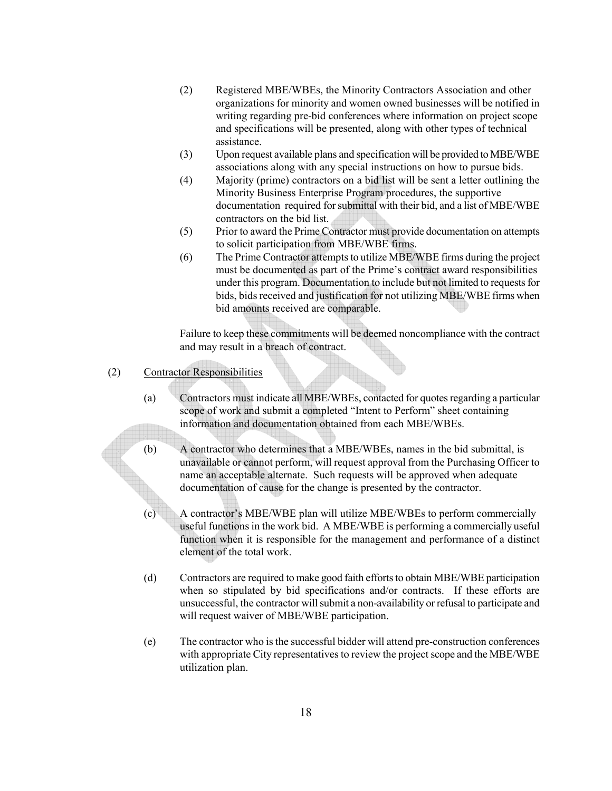- (2) Registered MBE/WBEs, the Minority Contractors Association and other organizations for minority and women owned businesses will be notified in writing regarding pre-bid conferences where information on project scope and specifications will be presented, along with other types of technical assistance.
- (3) Upon request available plans and specification will be provided to MBE/WBE associations along with any special instructions on how to pursue bids.
- (4) Majority (prime) contractors on a bid list will be sent a letter outlining the Minority Business Enterprise Program procedures, the supportive documentation required for submittal with their bid, and a list of MBE/WBE contractors on the bid list.
- (5) Prior to award the Prime Contractor must provide documentation on attempts to solicit participation from MBE/WBE firms.
- (6) The Prime Contractor attempts to utilize MBE/WBE firms during the project must be documented as part of the Prime's contract award responsibilities under this program. Documentation to include but not limited to requests for bids, bids received and justification for not utilizing MBE/WBE firms when bid amounts received are comparable.

 Failure to keep these commitments will be deemed noncompliance with the contract and may result in a breach of contract.

- (2) Contractor Responsibilities
	- (a) Contractors must indicate all MBE/WBEs, contacted for quotes regarding a particular scope of work and submit a completed "Intent to Perform" sheet containing information and documentation obtained from each MBE/WBEs.
	- (b) A contractor who determines that a MBE/WBEs, names in the bid submittal, is unavailable or cannot perform, will request approval from the Purchasing Officer to name an acceptable alternate. Such requests will be approved when adequate documentation of cause for the change is presented by the contractor.
	- (c) A contractor's MBE/WBE plan will utilize MBE/WBEs to perform commercially useful functions in the work bid. A MBE/WBE is performing a commercially useful function when it is responsible for the management and performance of a distinct element of the total work.
	- (d) Contractors are required to make good faith efforts to obtain MBE/WBE participation when so stipulated by bid specifications and/or contracts. If these efforts are unsuccessful, the contractor will submit a non-availability or refusal to participate and will request waiver of MBE/WBE participation.
	- (e) The contractor who is the successful bidder will attend pre-construction conferences with appropriate City representatives to review the project scope and the MBE/WBE utilization plan.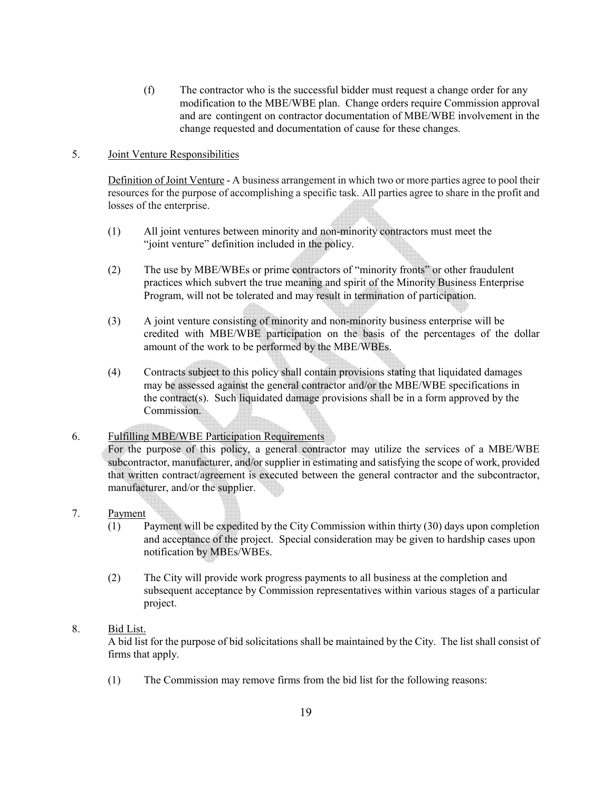(f) The contractor who is the successful bidder must request a change order for any modification to the MBE/WBE plan. Change orders require Commission approval and are contingent on contractor documentation of MBE/WBE involvement in the change requested and documentation of cause for these changes.

### 5. Joint Venture Responsibilities

Definition of Joint Venture - A business arrangement in which two or more parties agree to pool their resources for the purpose of accomplishing a specific task. All parties agree to share in the profit and losses of the enterprise.

- (1) All joint ventures between minority and non-minority contractors must meet the "joint venture" definition included in the policy.
- (2) The use by MBE/WBEs or prime contractors of "minority fronts" or other fraudulent practices which subvert the true meaning and spirit of the Minority Business Enterprise Program, will not be tolerated and may result in termination of participation.
- (3) A joint venture consisting of minority and non-minority business enterprise will be credited with MBE/WBE participation on the basis of the percentages of the dollar amount of the work to be performed by the MBE/WBEs.
- (4) Contracts subject to this policy shall contain provisions stating that liquidated damages may be assessed against the general contractor and/or the MBE/WBE specifications in the contract(s). Such liquidated damage provisions shall be in a form approved by the Commission.

## 6. Fulfilling MBE/WBE Participation Requirements

For the purpose of this policy, a general contractor may utilize the services of a MBE/WBE subcontractor, manufacturer, and/or supplier in estimating and satisfying the scope of work, provided that written contract/agreement is executed between the general contractor and the subcontractor, manufacturer, and/or the supplier.

### 7. Payment

- (1) Payment will be expedited by the City Commission within thirty (30) days upon completion and acceptance of the project. Special consideration may be given to hardship cases upon notification by MBEs/WBEs.
- (2) The City will provide work progress payments to all business at the completion and subsequent acceptance by Commission representatives within various stages of a particular project.

### 8. Bid List.

A bid list for the purpose of bid solicitations shall be maintained by the City. The list shall consist of firms that apply.

(1) The Commission may remove firms from the bid list for the following reasons: